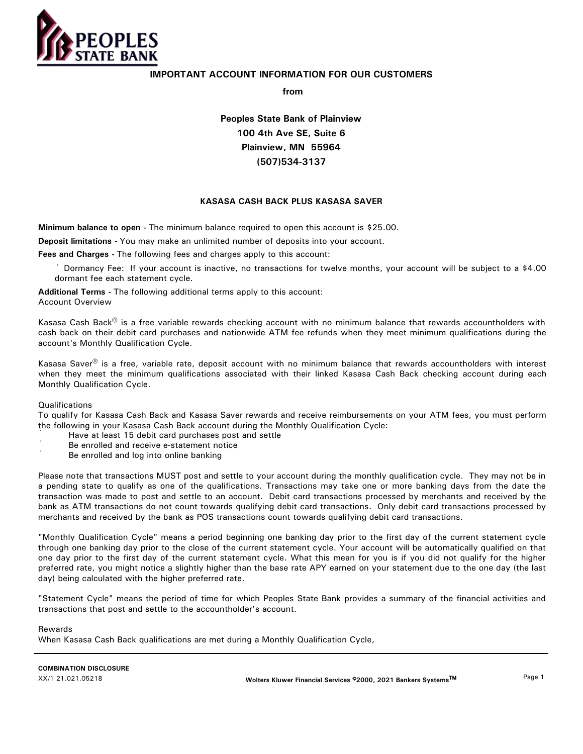

# **IMPORTANT ACCOUNT INFORMATION FOR OUR CUSTOMERS**

**from**

**Peoples State Bank of Plainview 100 4th Ave SE, Suite 6 Plainview, MN 55964 (507)534-3137**

# **KASASA CASH BACK PLUS KASASA SAVER**

**Minimum balance to open -** The minimum balance required to open this account is \$25.00.

**Deposit limitations -** You may make an unlimited number of deposits into your account.

**Fees and Charges -** The following fees and charges apply to this account:

· Dormancy Fee: If your account is inactive, no transactions for twelve months, your account will be subject to a \$4.00 dormant fee each statement cycle.

**Additional Terms -** The following additional terms apply to this account: Account Overview

Kasasa Cash Back $^{\circledR}$  is a free variable rewards checking account with no minimum balance that rewards accountholders with cash back on their debit card purchases and nationwide ATM fee refunds when they meet minimum qualifications during the account's Monthly Qualification Cycle.

Kasasa Saver $^{\circledast}$  is a free, variable rate, deposit account with no minimum balance that rewards accountholders with interest when they meet the minimum qualifications associated with their linked Kasasa Cash Back checking account during each Monthly Qualification Cycle.

# Qualifications

To qualify for Kasasa Cash Back and Kasasa Saver rewards and receive reimbursements on your ATM fees, you must perform the following in your Kasasa Cash Back account during the Monthly Qualification Cycle:

- · Have at least 15 debit card purchases post and settle
- · Be enrolled and receive e-statement notice
- · Be enrolled and log into online banking

Please note that transactions MUST post and settle to your account during the monthly qualification cycle. They may not be in a pending state to qualify as one of the qualifications. Transactions may take one or more banking days from the date the transaction was made to post and settle to an account. Debit card transactions processed by merchants and received by the bank as ATM transactions do not count towards qualifying debit card transactions. Only debit card transactions processed by merchants and received by the bank as POS transactions count towards qualifying debit card transactions.

"Monthly Qualification Cycle" means a period beginning one banking day prior to the first day of the current statement cycle through one banking day prior to the close of the current statement cycle. Your account will be automatically qualified on that one day prior to the first day of the current statement cycle. What this mean for you is if you did not qualify for the higher preferred rate, you might notice a slightly higher than the base rate APY earned on your statement due to the one day (the last day) being calculated with the higher preferred rate.

"Statement Cycle" means the period of time for which Peoples State Bank provides a summary of the financial activities and transactions that post and settle to the accountholder's account.

Rewards

When Kasasa Cash Back qualifications are met during a Monthly Qualification Cycle,

**COMBINATION DISCLOSURE** 

XX/1 21.021.05218 **Wolters Kluwer Financial Services** -**2000, 2021 Bankers Systems**\* Page 1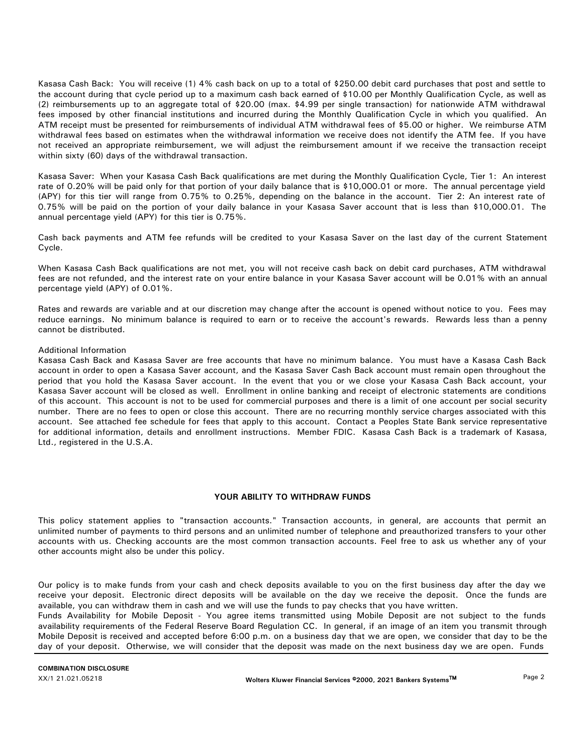Kasasa Cash Back: You will receive (1) 4% cash back on up to a total of \$250.00 debit card purchases that post and settle to the account during that cycle period up to a maximum cash back earned of \$10.00 per Monthly Qualification Cycle, as well as (2) reimbursements up to an aggregate total of \$20.00 (max. \$4.99 per single transaction) for nationwide ATM withdrawal fees imposed by other financial institutions and incurred during the Monthly Qualification Cycle in which you qualified. An ATM receipt must be presented for reimbursements of individual ATM withdrawal fees of \$5.00 or higher. We reimburse ATM withdrawal fees based on estimates when the withdrawal information we receive does not identify the ATM fee. If you have not received an appropriate reimbursement, we will adjust the reimbursement amount if we receive the transaction receipt within sixty (60) days of the withdrawal transaction.

Kasasa Saver: When your Kasasa Cash Back qualifications are met during the Monthly Qualification Cycle, Tier 1: An interest rate of 0.20% will be paid only for that portion of your daily balance that is \$10,000.01 or more. The annual percentage yield (APY) for this tier will range from 0.75% to 0.25%, depending on the balance in the account. Tier 2: An interest rate of 0.75% will be paid on the portion of your daily balance in your Kasasa Saver account that is less than \$10,000.01. The annual percentage yield (APY) for this tier is 0.75%.

Cash back payments and ATM fee refunds will be credited to your Kasasa Saver on the last day of the current Statement Cycle.

When Kasasa Cash Back qualifications are not met, you will not receive cash back on debit card purchases, ATM withdrawal fees are not refunded, and the interest rate on your entire balance in your Kasasa Saver account will be 0.01% with an annual percentage yield (APY) of 0.01%.

Rates and rewards are variable and at our discretion may change after the account is opened without notice to you. Fees may reduce earnings. No minimum balance is required to earn or to receive the account's rewards. Rewards less than a penny cannot be distributed.

## Additional Information

Kasasa Cash Back and Kasasa Saver are free accounts that have no minimum balance. You must have a Kasasa Cash Back account in order to open a Kasasa Saver account, and the Kasasa Saver Cash Back account must remain open throughout the period that you hold the Kasasa Saver account. In the event that you or we close your Kasasa Cash Back account, your Kasasa Saver account will be closed as well. Enrollment in online banking and receipt of electronic statements are conditions of this account. This account is not to be used for commercial purposes and there is a limit of one account per social security number. There are no fees to open or close this account. There are no recurring monthly service charges associated with this account. See attached fee schedule for fees that apply to this account. Contact a Peoples State Bank service representative for additional information, details and enrollment instructions. Member FDIC. Kasasa Cash Back is a trademark of Kasasa, Ltd., registered in the U.S.A.

#### **YOUR ABILITY TO WITHDRAW FUNDS**

This policy statement applies to "transaction accounts." Transaction accounts, in general, are accounts that permit an unlimited number of payments to third persons and an unlimited number of telephone and preauthorized transfers to your other accounts with us. Checking accounts are the most common transaction accounts. Feel free to ask us whether any of your other accounts might also be under this policy.

Our policy is to make funds from your cash and check deposits available to you on the first business day after the day we receive your deposit. Electronic direct deposits will be available on the day we receive the deposit. Once the funds are available, you can withdraw them in cash and we will use the funds to pay checks that you have written.

Funds Availability for Mobile Deposit - You agree items transmitted using Mobile Deposit are not subject to the funds availability requirements of the Federal Reserve Board Regulation CC. In general, if an image of an item you transmit through Mobile Deposit is received and accepted before 6:00 p.m. on a business day that we are open, we consider that day to be the day of your deposit. Otherwise, we will consider that the deposit was made on the next business day we are open. Funds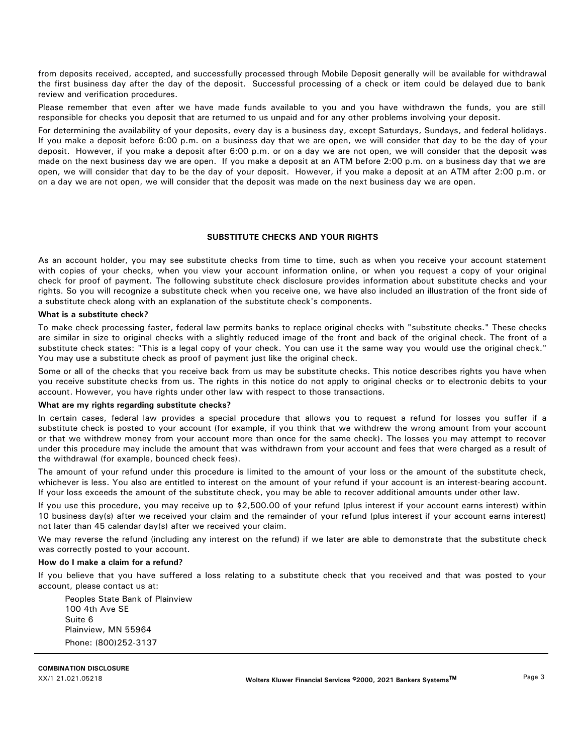from deposits received, accepted, and successfully processed through Mobile Deposit generally will be available for withdrawal the first business day after the day of the deposit. Successful processing of a check or item could be delayed due to bank review and verification procedures.

Please remember that even after we have made funds available to you and you have withdrawn the funds, you are still responsible for checks you deposit that are returned to us unpaid and for any other problems involving your deposit.

For determining the availability of your deposits, every day is a business day, except Saturdays, Sundays, and federal holidays. If you make a deposit before 6:00 p.m. on a business day that we are open, we will consider that day to be the day of your deposit. However, if you make a deposit after 6:00 p.m. or on a day we are not open, we will consider that the deposit was made on the next business day we are open. If you make a deposit at an ATM before 2:00 p.m. on a business day that we are open, we will consider that day to be the day of your deposit. However, if you make a deposit at an ATM after 2:00 p.m. or on a day we are not open, we will consider that the deposit was made on the next business day we are open.

## **SUBSTITUTE CHECKS AND YOUR RIGHTS**

As an account holder, you may see substitute checks from time to time, such as when you receive your account statement with copies of your checks, when you view your account information online, or when you request a copy of your original check for proof of payment. The following substitute check disclosure provides information about substitute checks and your rights. So you will recognize a substitute check when you receive one, we have also included an illustration of the front side of a substitute check along with an explanation of the substitute check's components.

## **What is a substitute check?**

To make check processing faster, federal law permits banks to replace original checks with "substitute checks." These checks are similar in size to original checks with a slightly reduced image of the front and back of the original check. The front of a substitute check states: "This is a legal copy of your check. You can use it the same way you would use the original check." You may use a substitute check as proof of payment just like the original check.

Some or all of the checks that you receive back from us may be substitute checks. This notice describes rights you have when you receive substitute checks from us. The rights in this notice do not apply to original checks or to electronic debits to your account. However, you have rights under other law with respect to those transactions.

#### **What are my rights regarding substitute checks?**

In certain cases, federal law provides a special procedure that allows you to request a refund for losses you suffer if a substitute check is posted to your account (for example, if you think that we withdrew the wrong amount from your account or that we withdrew money from your account more than once for the same check). The losses you may attempt to recover under this procedure may include the amount that was withdrawn from your account and fees that were charged as a result of the withdrawal (for example, bounced check fees).

The amount of your refund under this procedure is limited to the amount of your loss or the amount of the substitute check, whichever is less. You also are entitled to interest on the amount of your refund if your account is an interest-bearing account. If your loss exceeds the amount of the substitute check, you may be able to recover additional amounts under other law.

If you use this procedure, you may receive up to \$2,500.00 of your refund (plus interest if your account earns interest) within 10 business day(s) after we received your claim and the remainder of your refund (plus interest if your account earns interest) not later than 45 calendar day(s) after we received your claim.

We may reverse the refund (including any interest on the refund) if we later are able to demonstrate that the substitute check was correctly posted to your account.

### **How do I make a claim for a refund?**

If you believe that you have suffered a loss relating to a substitute check that you received and that was posted to your account, please contact us at:

Peoples State Bank of Plainview 100 4th Ave SE Suite 6 Plainview, MN 55964 Phone: (800)252-3137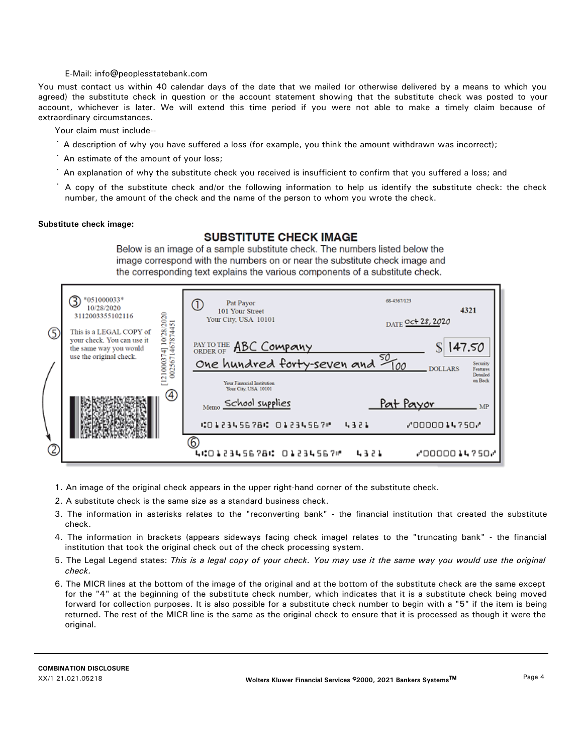## E-Mail: info@peoplesstatebank.com

You must contact us within 40 calendar days of the date that we mailed (or otherwise delivered by a means to which you agreed) the substitute check in question or the account statement showing that the substitute check was posted to your account, whichever is later. We will extend this time period if you were not able to make a timely claim because of extraordinary circumstances.

Your claim must include--

- · A description of why you have suffered a loss (for example, you think the amount withdrawn was incorrect);
- · An estimate of the amount of your loss;
- · An explanation of why the substitute check you received is insufficient to confirm that you suffered a loss; and
- number, the amount of the check and the name of the person to whom you wrote the check. · A copy of the substitute check and/or the following information to help us identify the substitute check: the check

#### **Substitute check image:**

# **SUBSTITUTE CHECK IMAGE**

Below is an image of a sample substitute check. The numbers listed below the image correspond with the numbers on or near the substitute check image and the corresponding text explains the various components of a substitute check.

|   | *051000033*<br>10/28/2020<br>3112003355102116                                                                                              | Pat Payor<br>Œ<br>101 Your Street<br>Your City, USA 10101                                    | 68-4567/123<br>4321<br>DATE Oct 28, 2020                             |
|---|--------------------------------------------------------------------------------------------------------------------------------------------|----------------------------------------------------------------------------------------------|----------------------------------------------------------------------|
| ⑤ | 74] 10/28/2020<br>1467874451<br>This is a LEGAL COPY of<br>your check. You can use it<br>the same way you would<br>use the original check. | <b>PAY TO THE ABC COMPOULY</b>                                                               | 147.50                                                               |
|   | 121000374]<br>002567                                                                                                                       | One hundred forty-seven and 500<br><b>Your Financial Institution</b><br>Your City, USA 10101 | Security<br><b>DOLLARS</b><br>Features<br><b>Detailed</b><br>on Back |
|   | ④                                                                                                                                          | Memo School supplies<br>40123456786 012345676<br>4321                                        | <u>Pat Payor</u><br>MP<br>1.7501                                     |
| C |                                                                                                                                            | 6.<br>4:012345678: 01234567"<br>4321                                                         | MOODOO14750M                                                         |

- 1. An image of the original check appears in the upper right-hand corner of the substitute check.
- 2. A substitute check is the same size as a standard business check.
- 3. The information in asterisks relates to the "reconverting bank" the financial institution that created the substitute check.
- 4. The information in brackets (appears sideways facing check image) relates to the "truncating bank" the financial institution that took the original check out of the check processing system.
- 5. The Legal Legend states: *This is a legal copy of your check. You may use it the same way you would use the original check.*
- 6. The MICR lines at the bottom of the image of the original and at the bottom of the substitute check are the same except for the "4" at the beginning of the substitute check number, which indicates that it is a substitute check being moved forward for collection purposes. It is also possible for a substitute check number to begin with a "5" if the item is being returned. The rest of the MICR line is the same as the original check to ensure that it is processed as though it were the original.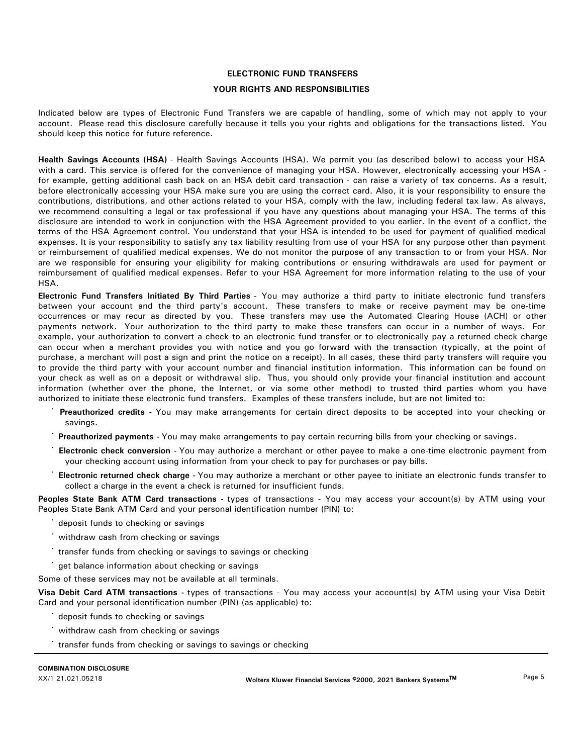# **ELECTRONIC FUND TRANSFERS**

## **YOUR RIGHTS AND RESPONSIBILITIES**

Indicated below are types of Electronic Fund Transfers we are capable of handling, some of which may not apply to your account. Please read this disclosure carefully because it tells you your rights and obligations for the transactions listed. You should keep this notice for future reference.

**Health Savings Accounts (HSA)** - Health Savings Accounts (HSA). We permit you (as described below) to access your HSA with a card. This service is offered for the convenience of managing your HSA. However, electronically accessing your HSA for example, getting additional cash back on an HSA debit card transaction - can raise a variety of tax concerns. As a result, before electronically accessing your HSA make sure you are using the correct card. Also, it is your responsibility to ensure the contributions, distributions, and other actions related to your HSA, comply with the law, including federal tax law. As always, we recommend consulting a legal or tax professional if you have any questions about managing your HSA. The terms of this disclosure are intended to work in conjunction with the HSA Agreement provided to you earlier. In the event of a conflict, the terms of the HSA Agreement control. You understand that your HSA is intended to be used for payment of qualified medical expenses. It is your responsibility to satisfy any tax liability resulting from use of your HSA for any purpose other than payment or reimbursement of qualified medical expenses. We do not monitor the purpose of any transaction to or from your HSA. Nor are we responsible for ensuring your eligibility for making contributions or ensuring withdrawals are used for payment or reimbursement of qualified medical expenses. Refer to your HSA Agreement for more information relating to the use of your HSA.

**Electronic Fund Transfers Initiated By Third Parties** - You may authorize a third party to initiate electronic fund transfers between your account and the third party's account. These transfers to make or receive payment may be one-time occurrences or may recur as directed by you. These transfers may use the Automated Clearing House (ACH) or other payments network. Your authorization to the third party to make these transfers can occur in a number of ways. For example, your authorization to convert a check to an electronic fund transfer or to electronically pay a returned check charge can occur when a merchant provides you with notice and you go forward with the transaction (typically, at the point of purchase, a merchant will post a sign and print the notice on a receipt). In all cases, these third party transfers will require you to provide the third party with your account number and financial institution information. This information can be found on your check as well as on a deposit or withdrawal slip. Thus, you should only provide your financial institution and account information (whether over the phone, the Internet, or via some other method) to trusted third parties whom you have authorized to initiate these electronic fund transfers. Examples of these transfers include, but are not limited to:

- savings. · **Preauthorized credits -** You may make arrangements for certain direct deposits to be accepted into your checking or
- · **Preauthorized payments -** You may make arrangements to pay certain recurring bills from your checking or savings.
- your checking account using information from your check to pay for purchases or pay bills. · **Electronic check conversion -** You may authorize a merchant or other payee to make a one-time electronic payment from
- collect a charge in the event a check is returned for insufficient funds. · **Electronic returned check charge -** You may authorize a merchant or other payee to initiate an electronic funds transfer to

**Peoples State Bank ATM Card transactions -** types of transactions - You may access your account(s) by ATM using your Peoples State Bank ATM Card and your personal identification number (PIN) to:

- deposit funds to checking or savings
- · withdraw cash from checking or savings
- transfer funds from checking or savings to savings or checking
- get balance information about checking or savings

Some of these services may not be available at all terminals.

**Visa Debit Card ATM transactions -** types of transactions - You may access your account(s) by ATM using your Visa Debit Card and your personal identification number (PIN) (as applicable) to:

- deposit funds to checking or savings
- withdraw cash from checking or savings
- transfer funds from checking or savings to savings or checking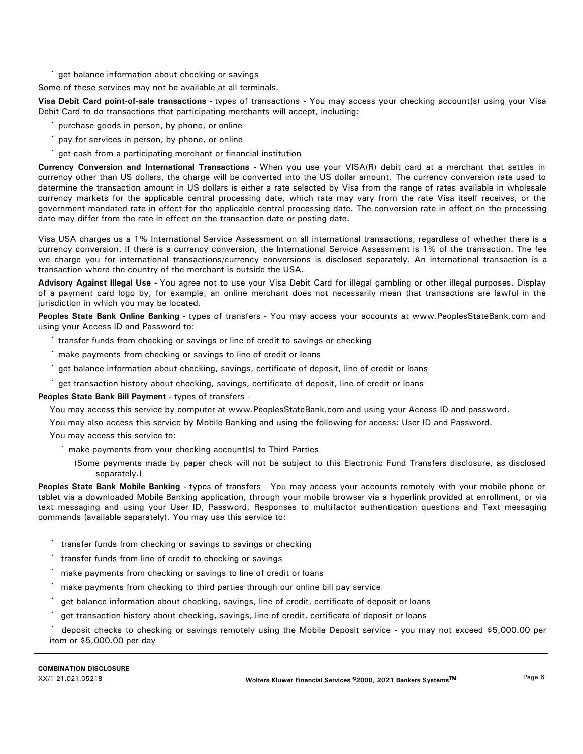get balance information about checking or savings

Some of these services may not be available at all terminals.

**Visa Debit Card point-of-sale transactions -** types of transactions - You may access your checking account(s) using your Visa Debit Card to do transactions that participating merchants will accept, including:

- purchase goods in person, by phone, or online
- pay for services in person, by phone, or online
- get cash from a participating merchant or financial institution

**Currency Conversion and International Transactions -** When you use your VISA(R) debit card at a merchant that settles in currency other than US dollars, the charge will be converted into the US dollar amount. The currency conversion rate used to determine the transaction amount in US dollars is either a rate selected by Visa from the range of rates available in wholesale currency markets for the applicable central processing date, which rate may vary from the rate Visa itself receives, or the government-mandated rate in effect for the applicable central processing date. The conversion rate in effect on the processing date may differ from the rate in effect on the transaction date or posting date.

Visa USA charges us a 1% International Service Assessment on all international transactions, regardless of whether there is a currency conversion. If there is a currency conversion, the International Service Assessment is 1% of the transaction. The fee we charge you for international transactions/currency conversions is disclosed separately. An international transaction is a transaction where the country of the merchant is outside the USA.

**Advisory Against Illegal Use -** You agree not to use your Visa Debit Card for illegal gambling or other illegal purposes. Display of a payment card logo by, for example, an online merchant does not necessarily mean that transactions are lawful in the jurisdiction in which you may be located.

Peoples State Bank Online Banking - types of transfers - You may access your accounts at www.PeoplesStateBank.com and using your Access ID and Password to:

- · transfer funds from checking or savings or line of credit to savings or checking
- make payments from checking or savings to line of credit or loans
- get balance information about checking, savings, certificate of deposit, line of credit or loans
- get transaction history about checking, savings, certificate of deposit, line of credit or loans

**Peoples State Bank Bill Payment -** types of transfers -

You may access this service by computer at www.PeoplesStateBank.com and using your Access ID and password.

You may also access this service by Mobile Banking and using the following for access: User ID and Password.

- You may access this service to:
	- · make payments from your checking account(s) to Third Parties
		- (Some payments made by paper check will not be subject to this Electronic Fund Transfers disclosure, as disclosed separately.)

**Peoples State Bank Mobile Banking -** types of transfers - You may access your accounts remotely with your mobile phone or tablet via a downloaded Mobile Banking application, through your mobile browser via a hyperlink provided at enrollment, or via text messaging and using your User ID, Password, Responses to multifactor authentication questions and Text messaging commands (available separately). You may use this service to:

- **·** transfer funds from checking or savings to savings or checking
- **·** transfer funds from line of credit to checking or savings
- **·** make payments from checking or savings to line of credit or loans
- **·** make payments from checking to third parties through our online bill pay service
- **·** get balance information about checking, savings, line of credit, certificate of deposit or loans
- **·** get transaction history about checking, savings, line of credit, certificate of deposit or loans

**·** deposit checks to checking or savings remotely using the Mobile Deposit service - you may not exceed \$5,000.00 per item or \$5,000.00 per day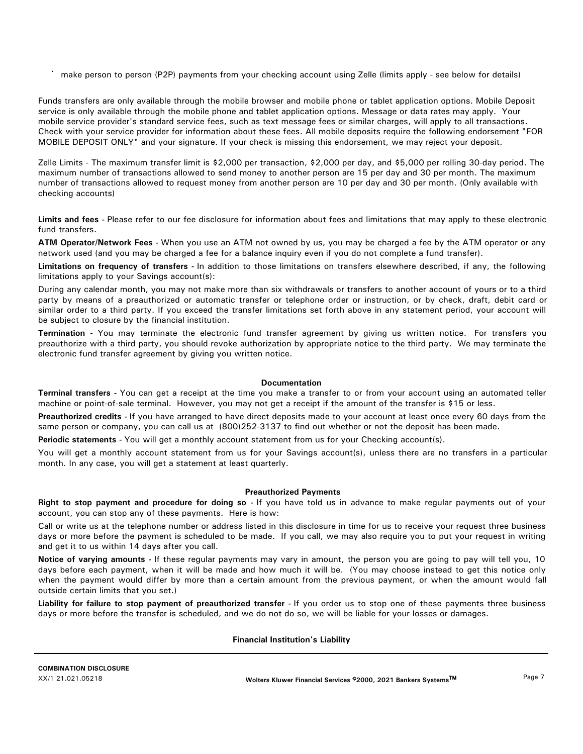**·** make person to person (P2P) payments from your checking account using Zelle (limits apply - see below for details)

Funds transfers are only available through the mobile browser and mobile phone or tablet application options. Mobile Deposit service is only available through the mobile phone and tablet application options. Message or data rates may apply. Your mobile service provider's standard service fees, such as text message fees or similar charges, will apply to all transactions. Check with your service provider for information about these fees. All mobile deposits require the following endorsement "FOR MOBILE DEPOSIT ONLY" and your signature. If your check is missing this endorsement, we may reject your deposit.

Zelle Limits - The maximum transfer limit is \$2,000 per transaction, \$2,000 per day, and \$5,000 per rolling 30-day period. The maximum number of transactions allowed to send money to another person are 15 per day and 30 per month. The maximum number of transactions allowed to request money from another person are 10 per day and 30 per month. (Only available with checking accounts)

**Limits and fees -** Please refer to our fee disclosure for information about fees and limitations that may apply to these electronic fund transfers.

**ATM Operator/Network Fees -** When you use an ATM not owned by us, you may be charged a fee by the ATM operator or any network used (and you may be charged a fee for a balance inquiry even if you do not complete a fund transfer).

**Limitations on frequency of transfers -** In addition to those limitations on transfers elsewhere described, if any, the following limitations apply to your Savings account(s):

During any calendar month, you may not make more than six withdrawals or transfers to another account of yours or to a third party by means of a preauthorized or automatic transfer or telephone order or instruction, or by check, draft, debit card or similar order to a third party. If you exceed the transfer limitations set forth above in any statement period, your account will be subject to closure by the financial institution.

**Termination -** You may terminate the electronic fund transfer agreement by giving us written notice. For transfers you preauthorize with a third party, you should revoke authorization by appropriate notice to the third party. We may terminate the electronic fund transfer agreement by giving you written notice.

# **Documentation**

**Terminal transfers -** You can get a receipt at the time you make a transfer to or from your account using an automated teller machine or point-of-sale terminal. However, you may not get a receipt if the amount of the transfer is \$15 or less.

**Preauthorized credits -** If you have arranged to have direct deposits made to your account at least once every 60 days from the same person or company, you can call us at (800)252-3137 to find out whether or not the deposit has been made.

**Periodic statements -** You will get a monthly account statement from us for your Checking account(s).

You will get a monthly account statement from us for your Savings account(s), unless there are no transfers in a particular month. In any case, you will get a statement at least quarterly.

#### **Preauthorized Payments**

**Right to stop payment and procedure for doing so -** If you have told us in advance to make regular payments out of your account, you can stop any of these payments. Here is how:

Call or write us at the telephone number or address listed in this disclosure in time for us to receive your request three business days or more before the payment is scheduled to be made. If you call, we may also require you to put your request in writing and get it to us within 14 days after you call.

**Notice of varying amounts -** If these regular payments may vary in amount, the person you are going to pay will tell you, 10 days before each payment, when it will be made and how much it will be. (You may choose instead to get this notice only when the payment would differ by more than a certain amount from the previous payment, or when the amount would fall outside certain limits that you set.)

**Liability for failure to stop payment of preauthorized transfer -** If you order us to stop one of these payments three business days or more before the transfer is scheduled, and we do not do so, we will be liable for your losses or damages.

#### **Financial Institution's Liability**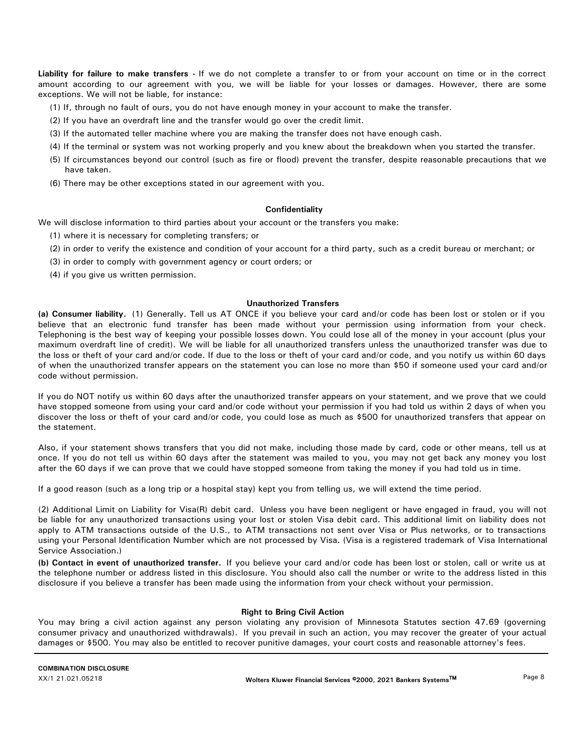**Liability for failure to make transfers -** If we do not complete a transfer to or from your account on time or in the correct amount according to our agreement with you, we will be liable for your losses or damages. However, there are some exceptions. We will not be liable, for instance:

- (1) If, through no fault of ours, you do not have enough money in your account to make the transfer.
- (2) If you have an overdraft line and the transfer would go over the credit limit.
- (3) If the automated teller machine where you are making the transfer does not have enough cash.
- (4) If the terminal or system was not working properly and you knew about the breakdown when you started the transfer.
- (5) If circumstances beyond our control (such as fire or flood) prevent the transfer, despite reasonable precautions that we have taken.
- (6) There may be other exceptions stated in our agreement with you.

#### **Confidentiality**

We will disclose information to third parties about your account or the transfers you make:

- (1) where it is necessary for completing transfers; or
- (2) in order to verify the existence and condition of your account for a third party, such as a credit bureau or merchant; or
- (3) in order to comply with government agency or court orders; or
- (4) if you give us written permission.

#### **Unauthorized Transfers**

**(a) Consumer liability.** (1) Generally. Tell us AT ONCE if you believe your card and/or code has been lost or stolen or if you believe that an electronic fund transfer has been made without your permission using information from your check. Telephoning is the best way of keeping your possible losses down. You could lose all of the money in your account (plus your maximum overdraft line of credit). We will be liable for all unauthorized transfers unless the unauthorized transfer was due to the loss or theft of your card and/or code. If due to the loss or theft of your card and/or code, and you notify us within 60 days of when the unauthorized transfer appears on the statement you can lose no more than \$50 if someone used your card and/or code without permission.

If you do NOT notify us within 60 days after the unauthorized transfer appears on your statement, and we prove that we could have stopped someone from using your card and/or code without your permission if you had told us within 2 days of when you discover the loss or theft of your card and/or code, you could lose as much as \$500 for unauthorized transfers that appear on the statement.

Also, if your statement shows transfers that you did not make, including those made by card, code or other means, tell us at once. If you do not tell us within 60 days after the statement was mailed to you, you may not get back any money you lost after the 60 days if we can prove that we could have stopped someone from taking the money if you had told us in time.

If a good reason (such as a long trip or a hospital stay) kept you from telling us, we will extend the time period.

(2) Additional Limit on Liability for Visa(R) debit card. Unless you have been negligent or have engaged in fraud, you will not be liable for any unauthorized transactions using your lost or stolen Visa debit card. This additional limit on liability does not apply to ATM transactions outside of the U.S., to ATM transactions not sent over Visa or Plus networks, or to transactions using your Personal Identification Number which are not processed by Visa. (Visa is a registered trademark of Visa International Service Association.)

**(b) Contact in event of unauthorized transfer.** If you believe your card and/or code has been lost or stolen, call or write us at the telephone number or address listed in this disclosure. You should also call the number or write to the address listed in this disclosure if you believe a transfer has been made using the information from your check without your permission.

#### **Right to Bring Civil Action**

You may bring a civil action against any person violating any provision of Minnesota Statutes section 47.69 (governing consumer privacy and unauthorized withdrawals). If you prevail in such an action, you may recover the greater of your actual damages or \$500. You may also be entitled to recover punitive damages, your court costs and reasonable attorney's fees.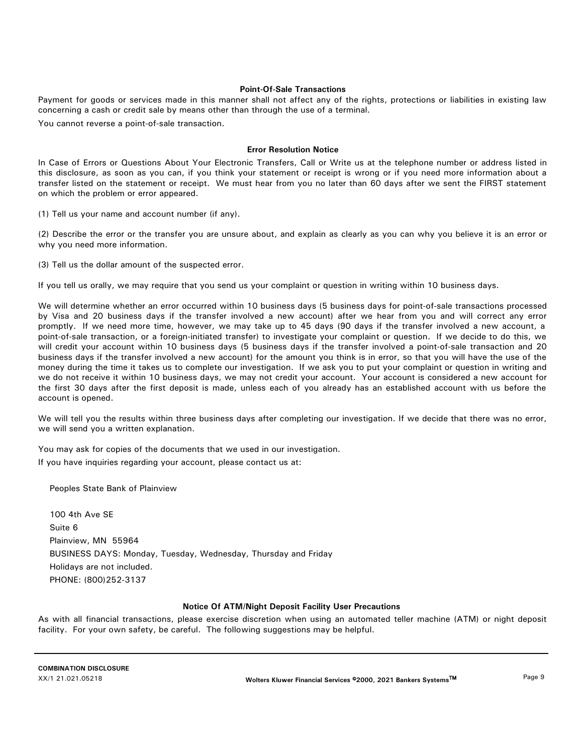# **Point-Of-Sale Transactions**

Payment for goods or services made in this manner shall not affect any of the rights, protections or liabilities in existing law concerning a cash or credit sale by means other than through the use of a terminal.

You cannot reverse a point-of-sale transaction.

## **Error Resolution Notice**

In Case of Errors or Questions About Your Electronic Transfers, Call or Write us at the telephone number or address listed in this disclosure, as soon as you can, if you think your statement or receipt is wrong or if you need more information about a transfer listed on the statement or receipt. We must hear from you no later than 60 days after we sent the FIRST statement on which the problem or error appeared.

(1) Tell us your name and account number (if any).

(2) Describe the error or the transfer you are unsure about, and explain as clearly as you can why you believe it is an error or why you need more information.

(3) Tell us the dollar amount of the suspected error.

If you tell us orally, we may require that you send us your complaint or question in writing within 10 business days.

We will determine whether an error occurred within 10 business days (5 business days for point-of-sale transactions processed by Visa and 20 business days if the transfer involved a new account) after we hear from you and will correct any error promptly. If we need more time, however, we may take up to 45 days (90 days if the transfer involved a new account, a point-of-sale transaction, or a foreign-initiated transfer) to investigate your complaint or question. If we decide to do this, we will credit your account within 10 business days (5 business days if the transfer involved a point-of-sale transaction and 20 business days if the transfer involved a new account) for the amount you think is in error, so that you will have the use of the money during the time it takes us to complete our investigation. If we ask you to put your complaint or question in writing and we do not receive it within 10 business days, we may not credit your account. Your account is considered a new account for the first 30 days after the first deposit is made, unless each of you already has an established account with us before the account is opened.

We will tell you the results within three business days after completing our investigation. If we decide that there was no error, we will send you a written explanation.

You may ask for copies of the documents that we used in our investigation.

If you have inquiries regarding your account, please contact us at:

Peoples State Bank of Plainview

100 4th Ave SE Suite 6 Plainview, MN 55964 BUSINESS DAYS: Monday, Tuesday, Wednesday, Thursday and Friday Holidays are not included. PHONE: (800)252-3137

# **Notice Of ATM/Night Deposit Facility User Precautions**

As with all financial transactions, please exercise discretion when using an automated teller machine (ATM) or night deposit facility. For your own safety, be careful. The following suggestions may be helpful.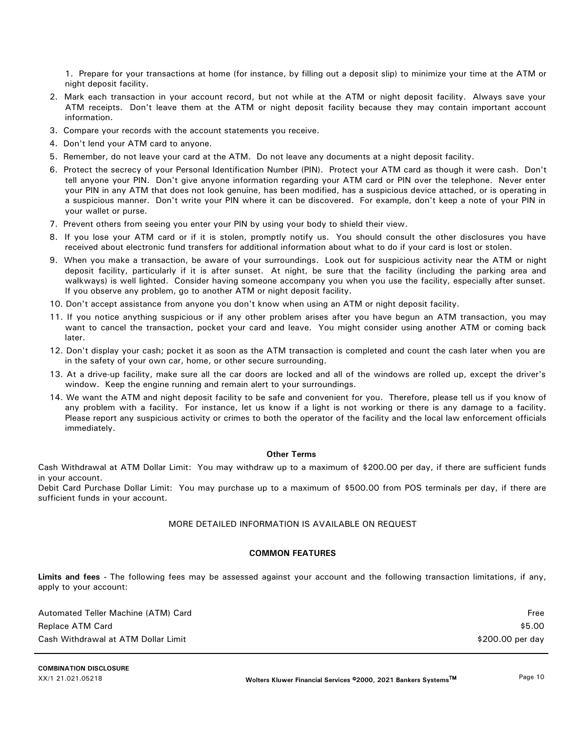1. Prepare for your transactions at home (for instance, by filling out a deposit slip) to minimize your time at the ATM or night deposit facility.

- 2. Mark each transaction in your account record, but not while at the ATM or night deposit facility. Always save your ATM receipts. Don't leave them at the ATM or night deposit facility because they may contain important account information.
- 3. Compare your records with the account statements you receive.
- 4. Don't lend your ATM card to anyone.
- 5. Remember, do not leave your card at the ATM. Do not leave any documents at a night deposit facility.
- 6. Protect the secrecy of your Personal Identification Number (PIN). Protect your ATM card as though it were cash. Don't tell anyone your PIN. Don't give anyone information regarding your ATM card or PIN over the telephone. Never enter your PIN in any ATM that does not look genuine, has been modified, has a suspicious device attached, or is operating in a suspicious manner. Don't write your PIN where it can be discovered. For example, don't keep a note of your PIN in your wallet or purse.
- 7. Prevent others from seeing you enter your PIN by using your body to shield their view.
- 8. If you lose your ATM card or if it is stolen, promptly notify us. You should consult the other disclosures you have received about electronic fund transfers for additional information about what to do if your card is lost or stolen.
- 9. When you make a transaction, be aware of your surroundings. Look out for suspicious activity near the ATM or night deposit facility, particularly if it is after sunset. At night, be sure that the facility (including the parking area and walkways) is well lighted. Consider having someone accompany you when you use the facility, especially after sunset. If you observe any problem, go to another ATM or night deposit facility.
- 10. Don't accept assistance from anyone you don't know when using an ATM or night deposit facility.
- 11. If you notice anything suspicious or if any other problem arises after you have begun an ATM transaction, you may want to cancel the transaction, pocket your card and leave. You might consider using another ATM or coming back later.
- 12. Don't display your cash; pocket it as soon as the ATM transaction is completed and count the cash later when you are in the safety of your own car, home, or other secure surrounding.
- 13. At a drive-up facility, make sure all the car doors are locked and all of the windows are rolled up, except the driver's window. Keep the engine running and remain alert to your surroundings.
- 14. We want the ATM and night deposit facility to be safe and convenient for you. Therefore, please tell us if you know of any problem with a facility. For instance, let us know if a light is not working or there is any damage to a facility. Please report any suspicious activity or crimes to both the operator of the facility and the local law enforcement officials immediately.

#### **Other Terms**

Cash Withdrawal at ATM Dollar Limit: You may withdraw up to a maximum of \$200.00 per day, if there are sufficient funds in your account.

Debit Card Purchase Dollar Limit: You may purchase up to a maximum of \$500.00 from POS terminals per day, if there are sufficient funds in your account.

# MORE DETAILED INFORMATION IS AVAILABLE ON REQUEST

### **COMMON FEATURES**

**Limits and fees -** The following fees may be assessed against your account and the following transaction limitations, if any, apply to your account:

| Automated Teller Machine (ATM) Card | Free             |
|-------------------------------------|------------------|
| Replace ATM Card                    | \$5.00           |
| Cash Withdrawal at ATM Dollar Limit | \$200.00 per day |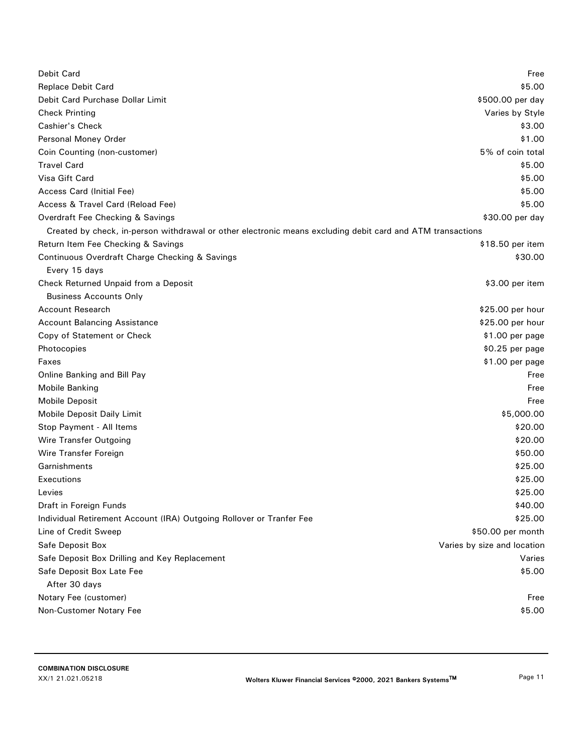| <b>Debit Card</b>                                                                                          | Free                        |
|------------------------------------------------------------------------------------------------------------|-----------------------------|
| Replace Debit Card                                                                                         | \$5.00                      |
| Debit Card Purchase Dollar Limit                                                                           | \$500.00 per day            |
| <b>Check Printing</b>                                                                                      | Varies by Style             |
| <b>Cashier's Check</b>                                                                                     | \$3.00                      |
| Personal Money Order                                                                                       | \$1.00                      |
| Coin Counting (non-customer)                                                                               | 5% of coin total            |
| <b>Travel Card</b>                                                                                         | \$5.00                      |
| Visa Gift Card                                                                                             | \$5.00                      |
| <b>Access Card (Initial Fee)</b>                                                                           | \$5.00                      |
| Access & Travel Card (Reload Fee)                                                                          | \$5.00                      |
| Overdraft Fee Checking & Savings                                                                           | \$30.00 per day             |
| Created by check, in-person withdrawal or other electronic means excluding debit card and ATM transactions |                             |
| Return Item Fee Checking & Savings                                                                         | \$18.50 per item            |
| Continuous Overdraft Charge Checking & Savings                                                             | \$30.00                     |
| Every 15 days                                                                                              |                             |
| Check Returned Unpaid from a Deposit                                                                       | \$3.00 per item             |
| <b>Business Accounts Only</b>                                                                              |                             |
| <b>Account Research</b>                                                                                    | \$25.00 per hour            |
| <b>Account Balancing Assistance</b>                                                                        | \$25.00 per hour            |
| Copy of Statement or Check                                                                                 | \$1.00 per page             |
| Photocopies                                                                                                | \$0.25 per page             |
| Faxes                                                                                                      | \$1.00 per page             |
| <b>Online Banking and Bill Pay</b>                                                                         | Free                        |
| <b>Mobile Banking</b>                                                                                      | Free                        |
| <b>Mobile Deposit</b>                                                                                      | Free                        |
| <b>Mobile Deposit Daily Limit</b>                                                                          | \$5,000.00                  |
| Stop Payment - All Items                                                                                   | \$20.00                     |
| Wire Transfer Outgoing                                                                                     | \$20.00                     |
| Wire Transfer Foreign                                                                                      | \$50.00                     |
| Garnishments                                                                                               | \$25.00                     |
| Executions                                                                                                 | \$25.00                     |
| Levies                                                                                                     | \$25.00                     |
| Draft in Foreign Funds                                                                                     | \$40.00                     |
| Individual Retirement Account (IRA) Outgoing Rollover or Tranfer Fee                                       | \$25.00                     |
| Line of Credit Sweep                                                                                       | \$50.00 per month           |
| Safe Deposit Box                                                                                           | Varies by size and location |
| Safe Deposit Box Drilling and Key Replacement                                                              | Varies                      |
| Safe Deposit Box Late Fee                                                                                  | \$5.00                      |
| After 30 days                                                                                              |                             |
| Notary Fee (customer)                                                                                      | Free                        |
| Non-Customer Notary Fee                                                                                    | \$5.00                      |
|                                                                                                            |                             |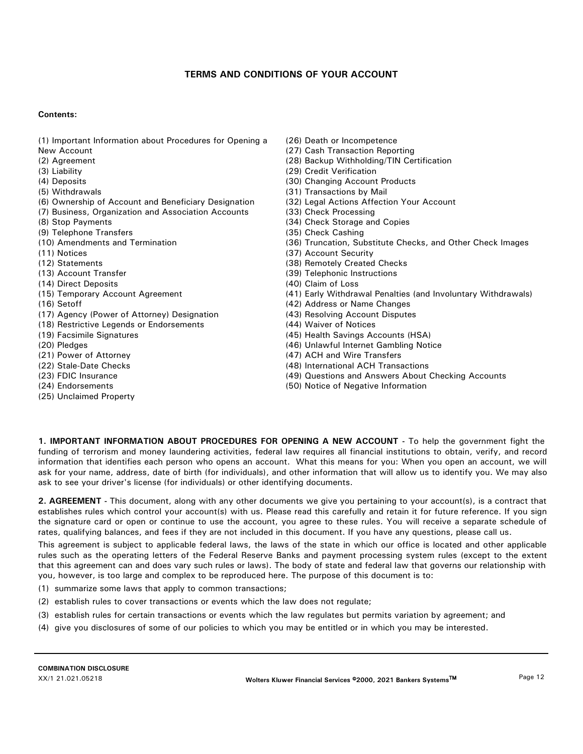# **TERMS AND CONDITIONS OF YOUR ACCOUNT**

## **Contents:**

- (1) Important Information about Procedures for Opening a
- New Account
- (2) Agreement
- (3) Liability
- (4) Deposits
- (5) Withdrawals
- (6) Ownership of Account and Beneficiary Designation
- (7) Business, Organization and Association Accounts
- (8) Stop Payments
- (9) Telephone Transfers
- (10) Amendments and Termination
- (11) Notices
- (12) Statements
- (13) Account Transfer
- (14) Direct Deposits
- (15) Temporary Account Agreement
- (16) Setoff
- (17) Agency (Power of Attorney) Designation
- (18) Restrictive Legends or Endorsements
- (19) Facsimile Signatures
- (20) Pledges
- (21) Power of Attorney
- (22) Stale-Date Checks
- (23) FDIC Insurance
- (24) Endorsements
- (25) Unclaimed Property
- (26) Death or Incompetence
- (27) Cash Transaction Reporting
- (28) Backup Withholding/TIN Certification
- (29) Credit Verification
- (30) Changing Account Products
- (31) Transactions by Mail
- (32) Legal Actions Affection Your Account
- (33) Check Processing
- (34) Check Storage and Copies
- (35) Check Cashing
- (36) Truncation, Substitute Checks, and Other Check Images
- (37) Account Security
- (38) Remotely Created Checks
- (39) Telephonic Instructions
- (40) Claim of Loss
- (41) Early Withdrawal Penalties (and Involuntary Withdrawals)
- (42) Address or Name Changes
- (43) Resolving Account Disputes
- (44) Waiver of Notices
- (45) Health Savings Accounts (HSA)
- (46) Unlawful Internet Gambling Notice
- (47) ACH and Wire Transfers
- (48) International ACH Transactions
- (49) Questions and Answers About Checking Accounts
- (50) Notice of Negative Information

**1. IMPORTANT INFORMATION ABOUT PROCEDURES FOR OPENING A NEW ACCOUNT -** To help the government fight the funding of terrorism and money laundering activities, federal law requires all financial institutions to obtain, verify, and record information that identifies each person who opens an account. What this means for you: When you open an account, we will ask for your name, address, date of birth (for individuals), and other information that will allow us to identify you. We may also ask to see your driver's license (for individuals) or other identifying documents.

**2. AGREEMENT -** This document, along with any other documents we give you pertaining to your account(s), is a contract that establishes rules which control your account(s) with us. Please read this carefully and retain it for future reference. If you sign the signature card or open or continue to use the account, you agree to these rules. You will receive a separate schedule of rates, qualifying balances, and fees if they are not included in this document. If you have any questions, please call us.

This agreement is subject to applicable federal laws, the laws of the state in which our office is located and other applicable rules such as the operating letters of the Federal Reserve Banks and payment processing system rules (except to the extent that this agreement can and does vary such rules or laws). The body of state and federal law that governs our relationship with you, however, is too large and complex to be reproduced here. The purpose of this document is to:

- (1) summarize some laws that apply to common transactions;
- (2) establish rules to cover transactions or events which the law does not regulate;
- (3) establish rules for certain transactions or events which the law regulates but permits variation by agreement; and
- (4) give you disclosures of some of our policies to which you may be entitled or in which you may be interested.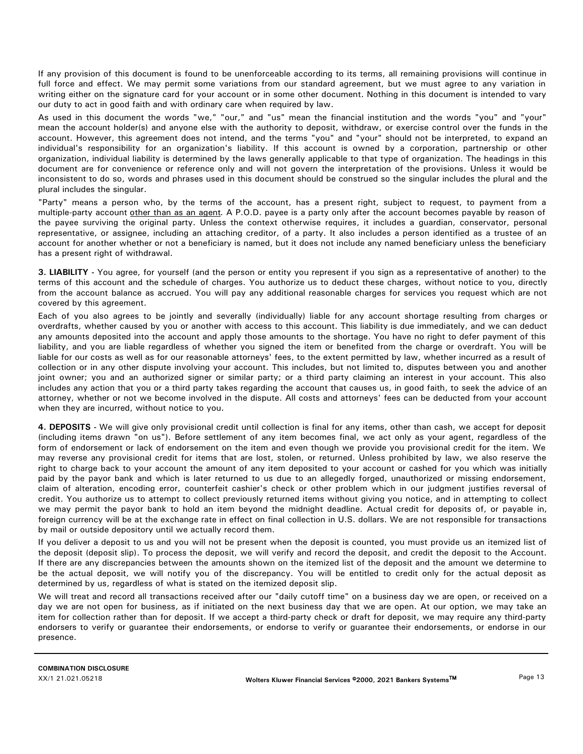If any provision of this document is found to be unenforceable according to its terms, all remaining provisions will continue in full force and effect. We may permit some variations from our standard agreement, but we must agree to any variation in writing either on the signature card for your account or in some other document. Nothing in this document is intended to vary our duty to act in good faith and with ordinary care when required by law.

As used in this document the words "we," "our," and "us" mean the financial institution and the words "you" and "your" mean the account holder(s) and anyone else with the authority to deposit, withdraw, or exercise control over the funds in the account. However, this agreement does not intend, and the terms "you" and "your" should not be interpreted, to expand an individual's responsibility for an organization's liability. If this account is owned by a corporation, partnership or other organization, individual liability is determined by the laws generally applicable to that type of organization. The headings in this document are for convenience or reference only and will not govern the interpretation of the provisions. Unless it would be inconsistent to do so, words and phrases used in this document should be construed so the singular includes the plural and the plural includes the singular.

"Party" means a person who, by the terms of the account, has a present right, subject to request, to payment from a multiple-party account other than as an agent. A P.O.D. payee is a party only after the account becomes payable by reason of the payee surviving the original party. Unless the context otherwise requires, it includes a guardian, conservator, personal representative, or assignee, including an attaching creditor, of a party. It also includes a person identified as a trustee of an account for another whether or not a beneficiary is named, but it does not include any named beneficiary unless the beneficiary has a present right of withdrawal.

**3. LIABILITY -** You agree, for yourself (and the person or entity you represent if you sign as a representative of another) to the terms of this account and the schedule of charges. You authorize us to deduct these charges, without notice to you, directly from the account balance as accrued. You will pay any additional reasonable charges for services you request which are not covered by this agreement.

Each of you also agrees to be jointly and severally (individually) liable for any account shortage resulting from charges or overdrafts, whether caused by you or another with access to this account. This liability is due immediately, and we can deduct any amounts deposited into the account and apply those amounts to the shortage. You have no right to defer payment of this liability, and you are liable regardless of whether you signed the item or benefited from the charge or overdraft. You will be liable for our costs as well as for our reasonable attorneys' fees, to the extent permitted by law, whether incurred as a result of collection or in any other dispute involving your account. This includes, but not limited to, disputes between you and another joint owner; you and an authorized signer or similar party; or a third party claiming an interest in your account. This also includes any action that you or a third party takes regarding the account that causes us, in good faith, to seek the advice of an attorney, whether or not we become involved in the dispute. All costs and attorneys' fees can be deducted from your account when they are incurred, without notice to you.

**4. DEPOSITS -** We will give only provisional credit until collection is final for any items, other than cash, we accept for deposit (including items drawn "on us"). Before settlement of any item becomes final, we act only as your agent, regardless of the form of endorsement or lack of endorsement on the item and even though we provide you provisional credit for the item. We may reverse any provisional credit for items that are lost, stolen, or returned. Unless prohibited by law, we also reserve the right to charge back to your account the amount of any item deposited to your account or cashed for you which was initially paid by the payor bank and which is later returned to us due to an allegedly forged, unauthorized or missing endorsement, claim of alteration, encoding error, counterfeit cashier's check or other problem which in our judgment justifies reversal of credit. You authorize us to attempt to collect previously returned items without giving you notice, and in attempting to collect we may permit the payor bank to hold an item beyond the midnight deadline. Actual credit for deposits of, or payable in, foreign currency will be at the exchange rate in effect on final collection in U.S. dollars. We are not responsible for transactions by mail or outside depository until we actually record them.

If you deliver a deposit to us and you will not be present when the deposit is counted, you must provide us an itemized list of the deposit (deposit slip). To process the deposit, we will verify and record the deposit, and credit the deposit to the Account. If there are any discrepancies between the amounts shown on the itemized list of the deposit and the amount we determine to be the actual deposit, we will notify you of the discrepancy. You will be entitled to credit only for the actual deposit as determined by us, regardless of what is stated on the itemized deposit slip.

We will treat and record all transactions received after our "daily cutoff time" on a business day we are open, or received on a day we are not open for business, as if initiated on the next business day that we are open. At our option, we may take an item for collection rather than for deposit. If we accept a third-party check or draft for deposit, we may require any third-party endorsers to verify or guarantee their endorsements, or endorse to verify or guarantee their endorsements, or endorse in our presence.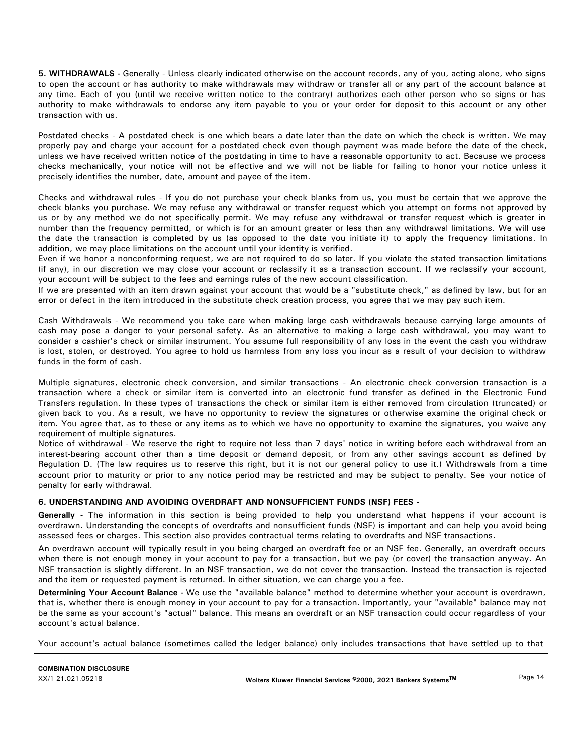**5. WITHDRAWALS -** Generally - Unless clearly indicated otherwise on the account records, any of you, acting alone, who signs to open the account or has authority to make withdrawals may withdraw or transfer all or any part of the account balance at any time. Each of you (until we receive written notice to the contrary) authorizes each other person who so signs or has authority to make withdrawals to endorse any item payable to you or your order for deposit to this account or any other transaction with us.

Postdated checks - A postdated check is one which bears a date later than the date on which the check is written. We may properly pay and charge your account for a postdated check even though payment was made before the date of the check, unless we have received written notice of the postdating in time to have a reasonable opportunity to act. Because we process checks mechanically, your notice will not be effective and we will not be liable for failing to honor your notice unless it precisely identifies the number, date, amount and payee of the item.

Checks and withdrawal rules - If you do not purchase your check blanks from us, you must be certain that we approve the check blanks you purchase. We may refuse any withdrawal or transfer request which you attempt on forms not approved by us or by any method we do not specifically permit. We may refuse any withdrawal or transfer request which is greater in number than the frequency permitted, or which is for an amount greater or less than any withdrawal limitations. We will use the date the transaction is completed by us (as opposed to the date you initiate it) to apply the frequency limitations. In addition, we may place limitations on the account until your identity is verified.

Even if we honor a nonconforming request, we are not required to do so later. If you violate the stated transaction limitations (if any), in our discretion we may close your account or reclassify it as a transaction account. If we reclassify your account, your account will be subject to the fees and earnings rules of the new account classification.

If we are presented with an item drawn against your account that would be a "substitute check," as defined by law, but for an error or defect in the item introduced in the substitute check creation process, you agree that we may pay such item.

Cash Withdrawals - We recommend you take care when making large cash withdrawals because carrying large amounts of cash may pose a danger to your personal safety. As an alternative to making a large cash withdrawal, you may want to consider a cashier's check or similar instrument. You assume full responsibility of any loss in the event the cash you withdraw is lost, stolen, or destroyed. You agree to hold us harmless from any loss you incur as a result of your decision to withdraw funds in the form of cash.

Multiple signatures, electronic check conversion, and similar transactions - An electronic check conversion transaction is a transaction where a check or similar item is converted into an electronic fund transfer as defined in the Electronic Fund Transfers regulation. In these types of transactions the check or similar item is either removed from circulation (truncated) or given back to you. As a result, we have no opportunity to review the signatures or otherwise examine the original check or item. You agree that, as to these or any items as to which we have no opportunity to examine the signatures, you waive any requirement of multiple signatures.

Notice of withdrawal - We reserve the right to require not less than 7 days' notice in writing before each withdrawal from an interest-bearing account other than a time deposit or demand deposit, or from any other savings account as defined by Regulation D. (The law requires us to reserve this right, but it is not our general policy to use it.) Withdrawals from a time account prior to maturity or prior to any notice period may be restricted and may be subject to penalty. See your notice of penalty for early withdrawal.

# **6. UNDERSTANDING AND AVOIDING OVERDRAFT AND NONSUFFICIENT FUNDS (NSF) FEES -**

**Generally -** The information in this section is being provided to help you understand what happens if your account is overdrawn. Understanding the concepts of overdrafts and nonsufficient funds (NSF) is important and can help you avoid being assessed fees or charges. This section also provides contractual terms relating to overdrafts and NSF transactions.

An overdrawn account will typically result in you being charged an overdraft fee or an NSF fee. Generally, an overdraft occurs when there is not enough money in your account to pay for a transaction, but we pay (or cover) the transaction anyway. An NSF transaction is slightly different. In an NSF transaction, we do not cover the transaction. Instead the transaction is rejected and the item or requested payment is returned. In either situation, we can charge you a fee.

**Determining Your Account Balance -** We use the "available balance" method to determine whether your account is overdrawn, that is, whether there is enough money in your account to pay for a transaction. Importantly, your "available" balance may not be the same as your account's "actual" balance. This means an overdraft or an NSF transaction could occur regardless of your account's actual balance.

Your account's actual balance (sometimes called the ledger balance) only includes transactions that have settled up to that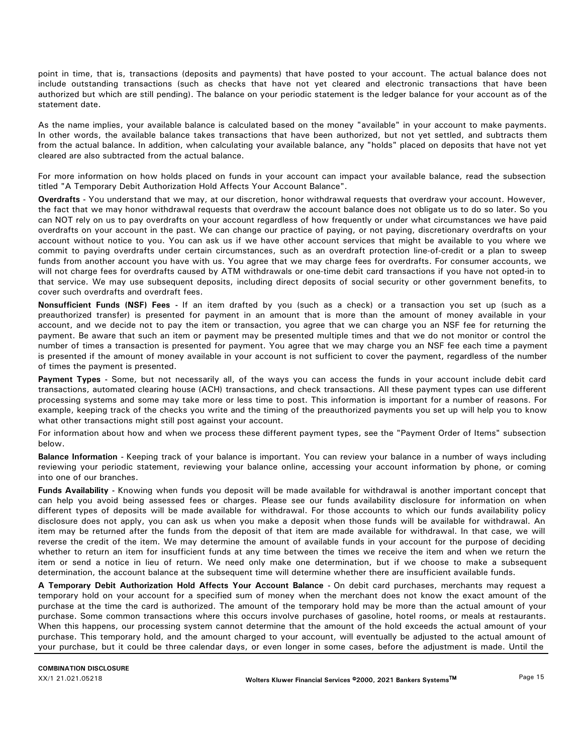point in time, that is, transactions (deposits and payments) that have posted to your account. The actual balance does not include outstanding transactions (such as checks that have not yet cleared and electronic transactions that have been authorized but which are still pending). The balance on your periodic statement is the ledger balance for your account as of the statement date.

As the name implies, your available balance is calculated based on the money "available" in your account to make payments. In other words, the available balance takes transactions that have been authorized, but not yet settled, and subtracts them from the actual balance. In addition, when calculating your available balance, any "holds" placed on deposits that have not yet cleared are also subtracted from the actual balance.

For more information on how holds placed on funds in your account can impact your available balance, read the subsection titled "A Temporary Debit Authorization Hold Affects Your Account Balance".

**Overdrafts -** You understand that we may, at our discretion, honor withdrawal requests that overdraw your account. However, the fact that we may honor withdrawal requests that overdraw the account balance does not obligate us to do so later. So you can NOT rely on us to pay overdrafts on your account regardless of how frequently or under what circumstances we have paid overdrafts on your account in the past. We can change our practice of paying, or not paying, discretionary overdrafts on your account without notice to you. You can ask us if we have other account services that might be available to you where we commit to paying overdrafts under certain circumstances, such as an overdraft protection line-of-credit or a plan to sweep funds from another account you have with us. You agree that we may charge fees for overdrafts. For consumer accounts, we will not charge fees for overdrafts caused by ATM withdrawals or one-time debit card transactions if you have not opted-in to that service. We may use subsequent deposits, including direct deposits of social security or other government benefits, to cover such overdrafts and overdraft fees.

**Nonsufficient Funds (NSF) Fees -** If an item drafted by you (such as a check) or a transaction you set up (such as a preauthorized transfer) is presented for payment in an amount that is more than the amount of money available in your account, and we decide not to pay the item or transaction, you agree that we can charge you an NSF fee for returning the payment. Be aware that such an item or payment may be presented multiple times and that we do not monitor or control the number of times a transaction is presented for payment. You agree that we may charge you an NSF fee each time a payment is presented if the amount of money available in your account is not sufficient to cover the payment, regardless of the number of times the payment is presented.

**Payment Types -** Some, but not necessarily all, of the ways you can access the funds in your account include debit card transactions, automated clearing house (ACH) transactions, and check transactions. All these payment types can use different processing systems and some may take more or less time to post. This information is important for a number of reasons. For example, keeping track of the checks you write and the timing of the preauthorized payments you set up will help you to know what other transactions might still post against your account.

For information about how and when we process these different payment types, see the "Payment Order of Items" subsection below.

**Balance Information -** Keeping track of your balance is important. You can review your balance in a number of ways including reviewing your periodic statement, reviewing your balance online, accessing your account information by phone, or coming into one of our branches.

Funds Availability - Knowing when funds you deposit will be made available for withdrawal is another important concept that can help you avoid being assessed fees or charges. Please see our funds availability disclosure for information on when different types of deposits will be made available for withdrawal. For those accounts to which our funds availability policy disclosure does not apply, you can ask us when you make a deposit when those funds will be available for withdrawal. An item may be returned after the funds from the deposit of that item are made available for withdrawal. In that case, we will reverse the credit of the item. We may determine the amount of available funds in your account for the purpose of deciding whether to return an item for insufficient funds at any time between the times we receive the item and when we return the item or send a notice in lieu of return. We need only make one determination, but if we choose to make a subsequent determination, the account balance at the subsequent time will determine whether there are insufficient available funds.

**A Temporary Debit Authorization Hold Affects Your Account Balance -** On debit card purchases, merchants may request a temporary hold on your account for a specified sum of money when the merchant does not know the exact amount of the purchase at the time the card is authorized. The amount of the temporary hold may be more than the actual amount of your purchase. Some common transactions where this occurs involve purchases of gasoline, hotel rooms, or meals at restaurants. When this happens, our processing system cannot determine that the amount of the hold exceeds the actual amount of your purchase. This temporary hold, and the amount charged to your account, will eventually be adjusted to the actual amount of your purchase, but it could be three calendar days, or even longer in some cases, before the adjustment is made. Until the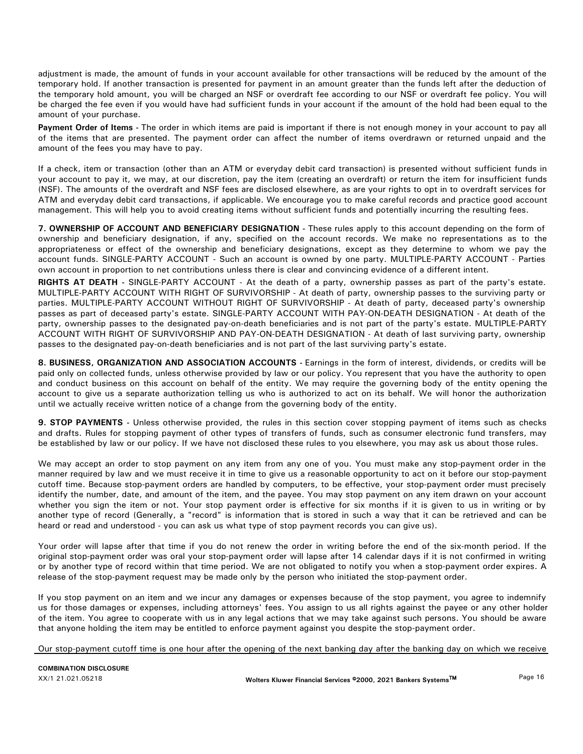adjustment is made, the amount of funds in your account available for other transactions will be reduced by the amount of the temporary hold. If another transaction is presented for payment in an amount greater than the funds left after the deduction of the temporary hold amount, you will be charged an NSF or overdraft fee according to our NSF or overdraft fee policy. You will be charged the fee even if you would have had sufficient funds in your account if the amount of the hold had been equal to the amount of your purchase.

**Payment Order of Items -** The order in which items are paid is important if there is not enough money in your account to pay all of the items that are presented. The payment order can affect the number of items overdrawn or returned unpaid and the amount of the fees you may have to pay.

If a check, item or transaction (other than an ATM or everyday debit card transaction) is presented without sufficient funds in your account to pay it, we may, at our discretion, pay the item (creating an overdraft) or return the item for insufficient funds (NSF). The amounts of the overdraft and NSF fees are disclosed elsewhere, as are your rights to opt in to overdraft services for ATM and everyday debit card transactions, if applicable. We encourage you to make careful records and practice good account management. This will help you to avoid creating items without sufficient funds and potentially incurring the resulting fees.

**7. OWNERSHIP OF ACCOUNT AND BENEFICIARY DESIGNATION -** These rules apply to this account depending on the form of ownership and beneficiary designation, if any, specified on the account records. We make no representations as to the appropriateness or effect of the ownership and beneficiary designations, except as they determine to whom we pay the account funds. SINGLE-PARTY ACCOUNT - Such an account is owned by one party. MULTIPLE-PARTY ACCOUNT - Parties own account in proportion to net contributions unless there is clear and convincing evidence of a different intent.

**RIGHTS AT DEATH -** SINGLE-PARTY ACCOUNT - At the death of a party, ownership passes as part of the party's estate. MULTIPLE-PARTY ACCOUNT WITH RIGHT OF SURVIVORSHIP - At death of party, ownership passes to the surviving party or parties. MULTIPLE-PARTY ACCOUNT WITHOUT RIGHT OF SURVIVORSHIP - At death of party, deceased party's ownership passes as part of deceased party's estate. SINGLE-PARTY ACCOUNT WITH PAY-ON-DEATH DESIGNATION - At death of the party, ownership passes to the designated pay-on-death beneficiaries and is not part of the party's estate. MULTIPLE-PARTY ACCOUNT WITH RIGHT OF SURVIVORSHIP AND PAY-ON-DEATH DESIGNATION - At death of last surviving party, ownership passes to the designated pay-on-death beneficiaries and is not part of the last surviving party's estate.

**8. BUSINESS, ORGANIZATION AND ASSOCIATION ACCOUNTS -** Earnings in the form of interest, dividends, or credits will be paid only on collected funds, unless otherwise provided by law or our policy. You represent that you have the authority to open and conduct business on this account on behalf of the entity. We may require the governing body of the entity opening the account to give us a separate authorization telling us who is authorized to act on its behalf. We will honor the authorization until we actually receive written notice of a change from the governing body of the entity.

**9. STOP PAYMENTS -** Unless otherwise provided, the rules in this section cover stopping payment of items such as checks and drafts. Rules for stopping payment of other types of transfers of funds, such as consumer electronic fund transfers, may be established by law or our policy. If we have not disclosed these rules to you elsewhere, you may ask us about those rules.

We may accept an order to stop payment on any item from any one of you. You must make any stop-payment order in the manner required by law and we must receive it in time to give us a reasonable opportunity to act on it before our stop-payment cutoff time. Because stop-payment orders are handled by computers, to be effective, your stop-payment order must precisely identify the number, date, and amount of the item, and the payee. You may stop payment on any item drawn on your account whether you sign the item or not. Your stop payment order is effective for six months if it is given to us in writing or by another type of record (Generally, a "record" is information that is stored in such a way that it can be retrieved and can be heard or read and understood - you can ask us what type of stop payment records you can give us).

Your order will lapse after that time if you do not renew the order in writing before the end of the six-month period. If the original stop-payment order was oral your stop-payment order will lapse after 14 calendar days if it is not confirmed in writing or by another type of record within that time period. We are not obligated to notify you when a stop-payment order expires. A release of the stop-payment request may be made only by the person who initiated the stop-payment order.

If you stop payment on an item and we incur any damages or expenses because of the stop payment, you agree to indemnify us for those damages or expenses, including attorneys' fees. You assign to us all rights against the payee or any other holder of the item. You agree to cooperate with us in any legal actions that we may take against such persons. You should be aware that anyone holding the item may be entitled to enforce payment against you despite the stop-payment order.

Our stop-payment cutoff time is one hour after the opening of the next banking day after the banking day on which we receive

**COMBINATION DISCLOSURE**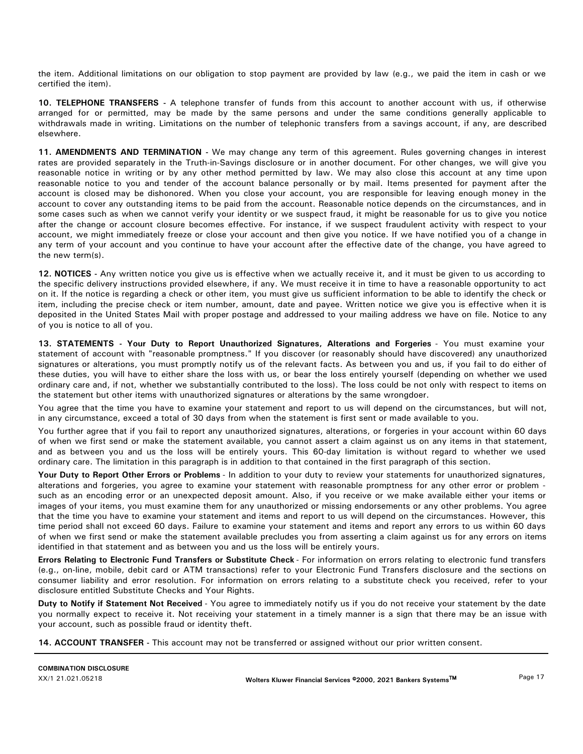the item. Additional limitations on our obligation to stop payment are provided by law (e.g., we paid the item in cash or we certified the item).

**10. TELEPHONE TRANSFERS -** A telephone transfer of funds from this account to another account with us, if otherwise arranged for or permitted, may be made by the same persons and under the same conditions generally applicable to withdrawals made in writing. Limitations on the number of telephonic transfers from a savings account, if any, are described elsewhere.

**11. AMENDMENTS AND TERMINATION -** We may change any term of this agreement. Rules governing changes in interest rates are provided separately in the Truth-in-Savings disclosure or in another document. For other changes, we will give you reasonable notice in writing or by any other method permitted by law. We may also close this account at any time upon reasonable notice to you and tender of the account balance personally or by mail. Items presented for payment after the account is closed may be dishonored. When you close your account, you are responsible for leaving enough money in the account to cover any outstanding items to be paid from the account. Reasonable notice depends on the circumstances, and in some cases such as when we cannot verify your identity or we suspect fraud, it might be reasonable for us to give you notice after the change or account closure becomes effective. For instance, if we suspect fraudulent activity with respect to your account, we might immediately freeze or close your account and then give you notice. If we have notified you of a change in any term of your account and you continue to have your account after the effective date of the change, you have agreed to the new term(s).

**12. NOTICES -** Any written notice you give us is effective when we actually receive it, and it must be given to us according to the specific delivery instructions provided elsewhere, if any. We must receive it in time to have a reasonable opportunity to act on it. If the notice is regarding a check or other item, you must give us sufficient information to be able to identify the check or item, including the precise check or item number, amount, date and payee. Written notice we give you is effective when it is deposited in the United States Mail with proper postage and addressed to your mailing address we have on file. Notice to any of you is notice to all of you.

**13. STATEMENTS - Your Duty to Report Unauthorized Signatures, Alterations and Forgeries** - You must examine your statement of account with "reasonable promptness." If you discover (or reasonably should have discovered) any unauthorized signatures or alterations, you must promptly notify us of the relevant facts. As between you and us, if you fail to do either of these duties, you will have to either share the loss with us, or bear the loss entirely yourself (depending on whether we used ordinary care and, if not, whether we substantially contributed to the loss). The loss could be not only with respect to items on the statement but other items with unauthorized signatures or alterations by the same wrongdoer.

You agree that the time you have to examine your statement and report to us will depend on the circumstances, but will not, in any circumstance, exceed a total of 30 days from when the statement is first sent or made available to you.

You further agree that if you fail to report any unauthorized signatures, alterations, or forgeries in your account within 60 days of when we first send or make the statement available, you cannot assert a claim against us on any items in that statement, and as between you and us the loss will be entirely yours. This 60-day limitation is without regard to whether we used ordinary care. The limitation in this paragraph is in addition to that contained in the first paragraph of this section.

**Your Duty to Report Other Errors or Problems** - In addition to your duty to review your statements for unauthorized signatures, alterations and forgeries, you agree to examine your statement with reasonable promptness for any other error or problem such as an encoding error or an unexpected deposit amount. Also, if you receive or we make available either your items or images of your items, you must examine them for any unauthorized or missing endorsements or any other problems. You agree that the time you have to examine your statement and items and report to us will depend on the circumstances. However, this time period shall not exceed 60 days. Failure to examine your statement and items and report any errors to us within 60 days of when we first send or make the statement available precludes you from asserting a claim against us for any errors on items identified in that statement and as between you and us the loss will be entirely yours.

**Errors Relating to Electronic Fund Transfers or Substitute Check** - For information on errors relating to electronic fund transfers (e.g., on-line, mobile, debit card or ATM transactions) refer to your Electronic Fund Transfers disclosure and the sections on consumer liability and error resolution. For information on errors relating to a substitute check you received, refer to your disclosure entitled Substitute Checks and Your Rights.

**Duty to Notify if Statement Not Received** - You agree to immediately notify us if you do not receive your statement by the date you normally expect to receive it. Not receiving your statement in a timely manner is a sign that there may be an issue with your account, such as possible fraud or identity theft.

**14. ACCOUNT TRANSFER -** This account may not be transferred or assigned without our prior written consent.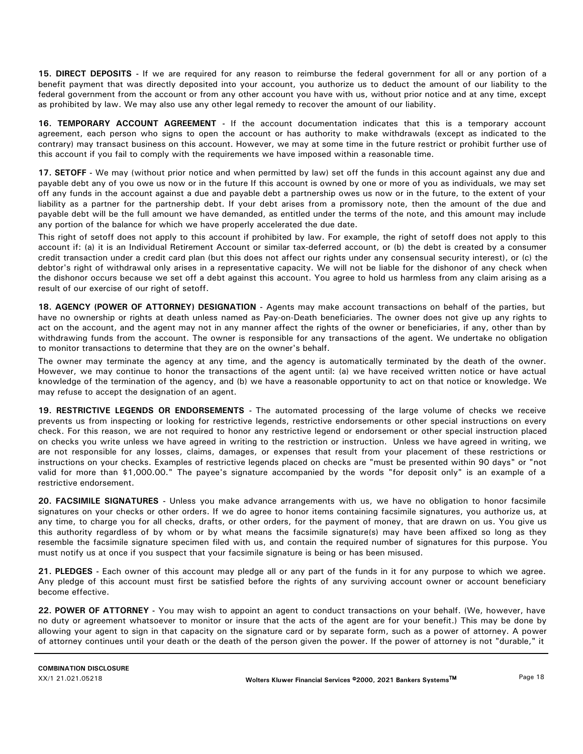**15. DIRECT DEPOSITS -** If we are required for any reason to reimburse the federal government for all or any portion of a benefit payment that was directly deposited into your account, you authorize us to deduct the amount of our liability to the federal government from the account or from any other account you have with us, without prior notice and at any time, except as prohibited by law. We may also use any other legal remedy to recover the amount of our liability.

**16. TEMPORARY ACCOUNT AGREEMENT -** If the account documentation indicates that this is a temporary account agreement, each person who signs to open the account or has authority to make withdrawals (except as indicated to the contrary) may transact business on this account. However, we may at some time in the future restrict or prohibit further use of this account if you fail to comply with the requirements we have imposed within a reasonable time.

**17. SETOFF -** We may (without prior notice and when permitted by law) set off the funds in this account against any due and payable debt any of you owe us now or in the future If this account is owned by one or more of you as individuals, we may set off any funds in the account against a due and payable debt a partnership owes us now or in the future, to the extent of your liability as a partner for the partnership debt. If your debt arises from a promissory note, then the amount of the due and payable debt will be the full amount we have demanded, as entitled under the terms of the note, and this amount may include any portion of the balance for which we have properly accelerated the due date.

This right of setoff does not apply to this account if prohibited by law. For example, the right of setoff does not apply to this account if: (a) it is an Individual Retirement Account or similar tax-deferred account, or (b) the debt is created by a consumer credit transaction under a credit card plan (but this does not affect our rights under any consensual security interest), or (c) the debtor's right of withdrawal only arises in a representative capacity. We will not be liable for the dishonor of any check when the dishonor occurs because we set off a debt against this account. You agree to hold us harmless from any claim arising as a result of our exercise of our right of setoff.

**18. AGENCY (POWER OF ATTORNEY) DESIGNATION -** Agents may make account transactions on behalf of the parties, but have no ownership or rights at death unless named as Pay-on-Death beneficiaries. The owner does not give up any rights to act on the account, and the agent may not in any manner affect the rights of the owner or beneficiaries, if any, other than by withdrawing funds from the account. The owner is responsible for any transactions of the agent. We undertake no obligation to monitor transactions to determine that they are on the owner's behalf.

The owner may terminate the agency at any time, and the agency is automatically terminated by the death of the owner. However, we may continue to honor the transactions of the agent until: (a) we have received written notice or have actual knowledge of the termination of the agency, and (b) we have a reasonable opportunity to act on that notice or knowledge. We may refuse to accept the designation of an agent.

**19. RESTRICTIVE LEGENDS OR ENDORSEMENTS -** The automated processing of the large volume of checks we receive prevents us from inspecting or looking for restrictive legends, restrictive endorsements or other special instructions on every check. For this reason, we are not required to honor any restrictive legend or endorsement or other special instruction placed on checks you write unless we have agreed in writing to the restriction or instruction. Unless we have agreed in writing, we are not responsible for any losses, claims, damages, or expenses that result from your placement of these restrictions or instructions on your checks. Examples of restrictive legends placed on checks are "must be presented within 90 days" or "not valid for more than \$1,000.00." The payee's signature accompanied by the words "for deposit only" is an example of a restrictive endorsement.

**20. FACSIMILE SIGNATURES -** Unless you make advance arrangements with us, we have no obligation to honor facsimile signatures on your checks or other orders. If we do agree to honor items containing facsimile signatures, you authorize us, at any time, to charge you for all checks, drafts, or other orders, for the payment of money, that are drawn on us. You give us this authority regardless of by whom or by what means the facsimile signature(s) may have been affixed so long as they resemble the facsimile signature specimen filed with us, and contain the required number of signatures for this purpose. You must notify us at once if you suspect that your facsimile signature is being or has been misused.

**21. PLEDGES -** Each owner of this account may pledge all or any part of the funds in it for any purpose to which we agree. Any pledge of this account must first be satisfied before the rights of any surviving account owner or account beneficiary become effective.

**22. POWER OF ATTORNEY -** You may wish to appoint an agent to conduct transactions on your behalf. (We, however, have no duty or agreement whatsoever to monitor or insure that the acts of the agent are for your benefit.) This may be done by allowing your agent to sign in that capacity on the signature card or by separate form, such as a power of attorney. A power of attorney continues until your death or the death of the person given the power. If the power of attorney is not "durable," it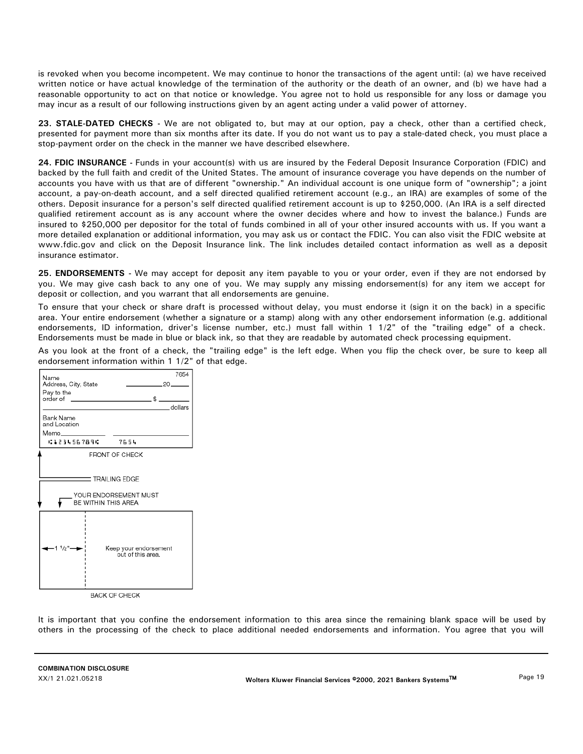is revoked when you become incompetent. We may continue to honor the transactions of the agent until: (a) we have received written notice or have actual knowledge of the termination of the authority or the death of an owner, and (b) we have had a reasonable opportunity to act on that notice or knowledge. You agree not to hold us responsible for any loss or damage you may incur as a result of our following instructions given by an agent acting under a valid power of attorney.

**23. STALE-DATED CHECKS -** We are not obligated to, but may at our option, pay a check, other than a certified check, presented for payment more than six months after its date. If you do not want us to pay a stale-dated check, you must place a stop-payment order on the check in the manner we have described elsewhere.

**24. FDIC INSURANCE -** Funds in your account(s) with us are insured by the Federal Deposit Insurance Corporation (FDIC) and backed by the full faith and credit of the United States. The amount of insurance coverage you have depends on the number of accounts you have with us that are of different "ownership." An individual account is one unique form of "ownership"; a joint account, a pay-on-death account, and a self directed qualified retirement account (e.g., an IRA) are examples of some of the others. Deposit insurance for a person's self directed qualified retirement account is up to \$250,000. (An IRA is a self directed qualified retirement account as is any account where the owner decides where and how to invest the balance.) Funds are insured to \$250,000 per depositor for the total of funds combined in all of your other insured accounts with us. If you want a more detailed explanation or additional information, you may ask us or contact the FDIC. You can also visit the FDIC website at www.fdic.gov and click on the Deposit Insurance link. The link includes detailed contact information as well as a deposit insurance estimator.

**25. ENDORSEMENTS -** We may accept for deposit any item payable to you or your order, even if they are not endorsed by you. We may give cash back to any one of you. We may supply any missing endorsement(s) for any item we accept for deposit or collection, and you warrant that all endorsements are genuine.

To ensure that your check or share draft is processed without delay, you must endorse it (sign it on the back) in a specific area. Your entire endorsement (whether a signature or a stamp) along with any other endorsement information (e.g. additional endorsements, ID information, driver's license number, etc.) must fall within 1 1/2" of the "trailing edge" of a check. Endorsements must be made in blue or black ink, so that they are readable by automated check processing equipment.

As you look at the front of a check, the "trailing edge" is the left edge. When you flip the check over, be sure to keep all endorsement information within 1 1/2" of that edge.



It is important that you confine the endorsement information to this area since the remaining blank space will be used by others in the processing of the check to place additional needed endorsements and information. You agree that you will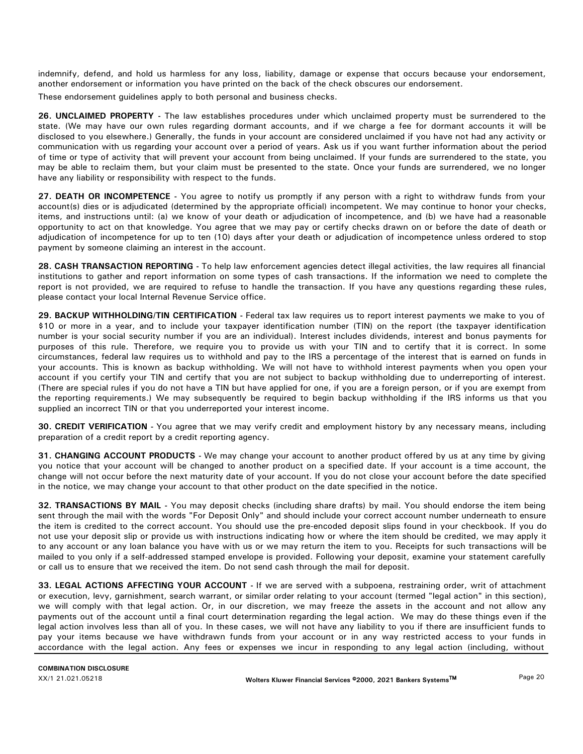indemnify, defend, and hold us harmless for any loss, liability, damage or expense that occurs because your endorsement, another endorsement or information you have printed on the back of the check obscures our endorsement.

These endorsement guidelines apply to both personal and business checks.

**26. UNCLAIMED PROPERTY -** The law establishes procedures under which unclaimed property must be surrendered to the state. (We may have our own rules regarding dormant accounts, and if we charge a fee for dormant accounts it will be disclosed to you elsewhere.) Generally, the funds in your account are considered unclaimed if you have not had any activity or communication with us regarding your account over a period of years. Ask us if you want further information about the period of time or type of activity that will prevent your account from being unclaimed. If your funds are surrendered to the state, you may be able to reclaim them, but your claim must be presented to the state. Once your funds are surrendered, we no longer have any liability or responsibility with respect to the funds.

**27. DEATH OR INCOMPETENCE -** You agree to notify us promptly if any person with a right to withdraw funds from your account(s) dies or is adjudicated (determined by the appropriate official) incompetent. We may continue to honor your checks, items, and instructions until: (a) we know of your death or adjudication of incompetence, and (b) we have had a reasonable opportunity to act on that knowledge. You agree that we may pay or certify checks drawn on or before the date of death or adjudication of incompetence for up to ten (10) days after your death or adjudication of incompetence unless ordered to stop payment by someone claiming an interest in the account.

**28. CASH TRANSACTION REPORTING -** To help law enforcement agencies detect illegal activities, the law requires all financial institutions to gather and report information on some types of cash transactions. If the information we need to complete the report is not provided, we are required to refuse to handle the transaction. If you have any questions regarding these rules, please contact your local Internal Revenue Service office.

**29. BACKUP WITHHOLDING/TIN CERTIFICATION -** Federal tax law requires us to report interest payments we make to you of \$10 or more in a year, and to include your taxpayer identification number (TIN) on the report (the taxpayer identification number is your social security number if you are an individual). Interest includes dividends, interest and bonus payments for purposes of this rule. Therefore, we require you to provide us with your TIN and to certify that it is correct. In some circumstances, federal law requires us to withhold and pay to the IRS a percentage of the interest that is earned on funds in your accounts. This is known as backup withholding. We will not have to withhold interest payments when you open your account if you certify your TIN and certify that you are not subject to backup withholding due to underreporting of interest. (There are special rules if you do not have a TIN but have applied for one, if you are a foreign person, or if you are exempt from the reporting requirements.) We may subsequently be required to begin backup withholding if the IRS informs us that you supplied an incorrect TIN or that you underreported your interest income.

**30. CREDIT VERIFICATION -** You agree that we may verify credit and employment history by any necessary means, including preparation of a credit report by a credit reporting agency.

**31. CHANGING ACCOUNT PRODUCTS -** We may change your account to another product offered by us at any time by giving you notice that your account will be changed to another product on a specified date. If your account is a time account, the change will not occur before the next maturity date of your account. If you do not close your account before the date specified in the notice, we may change your account to that other product on the date specified in the notice.

**32. TRANSACTIONS BY MAIL -** You may deposit checks (including share drafts) by mail. You should endorse the item being sent through the mail with the words "For Deposit Only" and should include your correct account number underneath to ensure the item is credited to the correct account. You should use the pre-encoded deposit slips found in your checkbook. If you do not use your deposit slip or provide us with instructions indicating how or where the item should be credited, we may apply it to any account or any loan balance you have with us or we may return the item to you. Receipts for such transactions will be mailed to you only if a self-addressed stamped envelope is provided. Following your deposit, examine your statement carefully or call us to ensure that we received the item. Do not send cash through the mail for deposit.

**33. LEGAL ACTIONS AFFECTING YOUR ACCOUNT -** If we are served with a subpoena, restraining order, writ of attachment or execution, levy, garnishment, search warrant, or similar order relating to your account (termed "legal action" in this section), we will comply with that legal action. Or, in our discretion, we may freeze the assets in the account and not allow any payments out of the account until a final court determination regarding the legal action. We may do these things even if the legal action involves less than all of you. In these cases, we will not have any liability to you if there are insufficient funds to pay your items because we have withdrawn funds from your account or in any way restricted access to your funds in accordance with the legal action. Any fees or expenses we incur in responding to any legal action (including, without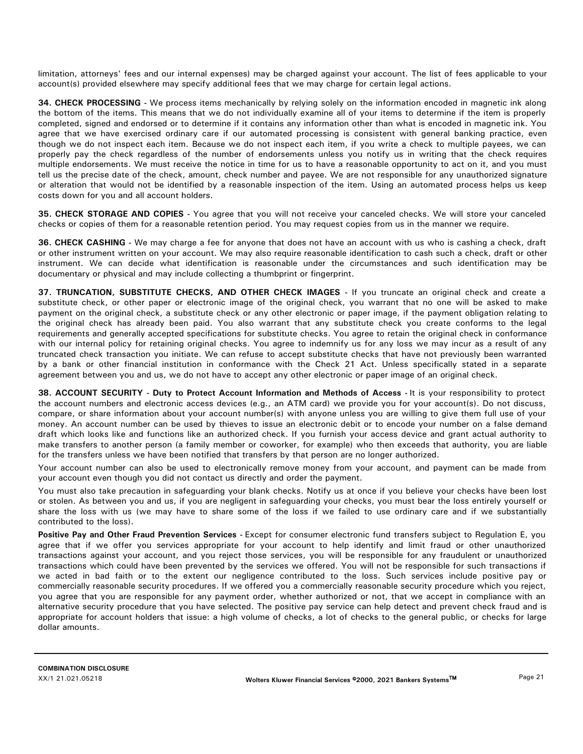limitation, attorneys' fees and our internal expenses) may be charged against your account. The list of fees applicable to your account(s) provided elsewhere may specify additional fees that we may charge for certain legal actions.

**34. CHECK PROCESSING -** We process items mechanically by relying solely on the information encoded in magnetic ink along the bottom of the items. This means that we do not individually examine all of your items to determine if the item is properly completed, signed and endorsed or to determine if it contains any information other than what is encoded in magnetic ink. You agree that we have exercised ordinary care if our automated processing is consistent with general banking practice, even though we do not inspect each item. Because we do not inspect each item, if you write a check to multiple payees, we can properly pay the check regardless of the number of endorsements unless you notify us in writing that the check requires multiple endorsements. We must receive the notice in time for us to have a reasonable opportunity to act on it, and you must tell us the precise date of the check, amount, check number and payee. We are not responsible for any unauthorized signature or alteration that would not be identified by a reasonable inspection of the item. Using an automated process helps us keep costs down for you and all account holders.

**35. CHECK STORAGE AND COPIES -** You agree that you will not receive your canceled checks. We will store your canceled checks or copies of them for a reasonable retention period. You may request copies from us in the manner we require.

**36. CHECK CASHING -** We may charge a fee for anyone that does not have an account with us who is cashing a check, draft or other instrument written on your account. We may also require reasonable identification to cash such a check, draft or other instrument. We can decide what identification is reasonable under the circumstances and such identification may be documentary or physical and may include collecting a thumbprint or fingerprint.

**37. TRUNCATION, SUBSTITUTE CHECKS, AND OTHER CHECK IMAGES -** If you truncate an original check and create a substitute check, or other paper or electronic image of the original check, you warrant that no one will be asked to make payment on the original check, a substitute check or any other electronic or paper image, if the payment obligation relating to the original check has already been paid. You also warrant that any substitute check you create conforms to the legal requirements and generally accepted specifications for substitute checks. You agree to retain the original check in conformance with our internal policy for retaining original checks. You agree to indemnify us for any loss we may incur as a result of any truncated check transaction you initiate. We can refuse to accept substitute checks that have not previously been warranted by a bank or other financial institution in conformance with the Check 21 Act. Unless specifically stated in a separate agreement between you and us, we do not have to accept any other electronic or paper image of an original check.

**38. ACCOUNT SECURITY - Duty to Protect Account Information and Methods of Access -** It is your responsibility to protect the account numbers and electronic access devices (e.g., an ATM card) we provide you for your account(s). Do not discuss, compare, or share information about your account number(s) with anyone unless you are willing to give them full use of your money. An account number can be used by thieves to issue an electronic debit or to encode your number on a false demand draft which looks like and functions like an authorized check. If you furnish your access device and grant actual authority to make transfers to another person (a family member or coworker, for example) who then exceeds that authority, you are liable for the transfers unless we have been notified that transfers by that person are no longer authorized.

Your account number can also be used to electronically remove money from your account, and payment can be made from your account even though you did not contact us directly and order the payment.

You must also take precaution in safeguarding your blank checks. Notify us at once if you believe your checks have been lost or stolen. As between you and us, if you are negligent in safeguarding your checks, you must bear the loss entirely yourself or share the loss with us (we may have to share some of the loss if we failed to use ordinary care and if we substantially contributed to the loss).

Positive Pay and Other Fraud Prevention Services - Except for consumer electronic fund transfers subject to Regulation E, you agree that if we offer you services appropriate for your account to help identify and limit fraud or other unauthorized transactions against your account, and you reject those services, you will be responsible for any fraudulent or unauthorized transactions which could have been prevented by the services we offered. You will not be responsible for such transactions if we acted in bad faith or to the extent our negligence contributed to the loss. Such services include positive pay or commercially reasonable security procedures. If we offered you a commercially reasonable security procedure which you reject, you agree that you are responsible for any payment order, whether authorized or not, that we accept in compliance with an alternative security procedure that you have selected. The positive pay service can help detect and prevent check fraud and is appropriate for account holders that issue: a high volume of checks, a lot of checks to the general public, or checks for large dollar amounts.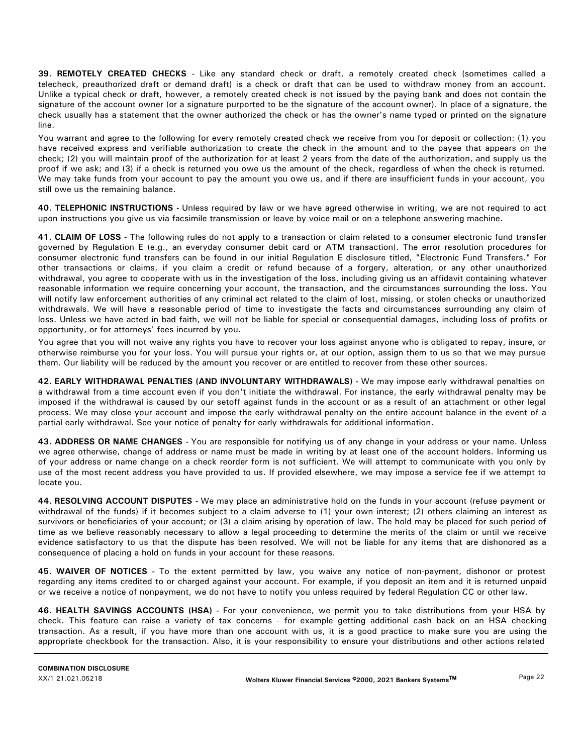**39. REMOTELY CREATED CHECKS -** Like any standard check or draft, a remotely created check (sometimes called a telecheck, preauthorized draft or demand draft) is a check or draft that can be used to withdraw money from an account. Unlike a typical check or draft, however, a remotely created check is not issued by the paying bank and does not contain the signature of the account owner (or a signature purported to be the signature of the account owner). In place of a signature, the check usually has a statement that the owner authorized the check or has the owner's name typed or printed on the signature line.

You warrant and agree to the following for every remotely created check we receive from you for deposit or collection: (1) you have received express and verifiable authorization to create the check in the amount and to the payee that appears on the check; (2) you will maintain proof of the authorization for at least 2 years from the date of the authorization, and supply us the proof if we ask; and (3) if a check is returned you owe us the amount of the check, regardless of when the check is returned. We may take funds from your account to pay the amount you owe us, and if there are insufficient funds in your account, you still owe us the remaining balance.

**40. TELEPHONIC INSTRUCTIONS -** Unless required by law or we have agreed otherwise in writing, we are not required to act upon instructions you give us via facsimile transmission or leave by voice mail or on a telephone answering machine.

**41. CLAIM OF LOSS -** The following rules do not apply to a transaction or claim related to a consumer electronic fund transfer governed by Regulation E (e.g., an everyday consumer debit card or ATM transaction). The error resolution procedures for consumer electronic fund transfers can be found in our initial Regulation E disclosure titled, "Electronic Fund Transfers." For other transactions or claims, if you claim a credit or refund because of a forgery, alteration, or any other unauthorized withdrawal, you agree to cooperate with us in the investigation of the loss, including giving us an affidavit containing whatever reasonable information we require concerning your account, the transaction, and the circumstances surrounding the loss. You will notify law enforcement authorities of any criminal act related to the claim of lost, missing, or stolen checks or unauthorized withdrawals. We will have a reasonable period of time to investigate the facts and circumstances surrounding any claim of loss. Unless we have acted in bad faith, we will not be liable for special or consequential damages, including loss of profits or opportunity, or for attorneys' fees incurred by you.

You agree that you will not waive any rights you have to recover your loss against anyone who is obligated to repay, insure, or otherwise reimburse you for your loss. You will pursue your rights or, at our option, assign them to us so that we may pursue them. Our liability will be reduced by the amount you recover or are entitled to recover from these other sources.

**42. EARLY WITHDRAWAL PENALTIES (AND INVOLUNTARY WITHDRAWALS) -** We may impose early withdrawal penalties on a withdrawal from a time account even if you don't initiate the withdrawal. For instance, the early withdrawal penalty may be imposed if the withdrawal is caused by our setoff against funds in the account or as a result of an attachment or other legal process. We may close your account and impose the early withdrawal penalty on the entire account balance in the event of a partial early withdrawal. See your notice of penalty for early withdrawals for additional information.

**43. ADDRESS OR NAME CHANGES -** You are responsible for notifying us of any change in your address or your name. Unless we agree otherwise, change of address or name must be made in writing by at least one of the account holders. Informing us of your address or name change on a check reorder form is not sufficient. We will attempt to communicate with you only by use of the most recent address you have provided to us. If provided elsewhere, we may impose a service fee if we attempt to locate you.

**44. RESOLVING ACCOUNT DISPUTES -** We may place an administrative hold on the funds in your account (refuse payment or withdrawal of the funds) if it becomes subject to a claim adverse to (1) your own interest; (2) others claiming an interest as survivors or beneficiaries of your account; or (3) a claim arising by operation of law. The hold may be placed for such period of time as we believe reasonably necessary to allow a legal proceeding to determine the merits of the claim or until we receive evidence satisfactory to us that the dispute has been resolved. We will not be liable for any items that are dishonored as a consequence of placing a hold on funds in your account for these reasons.

**45. WAIVER OF NOTICES -** To the extent permitted by law, you waive any notice of non-payment, dishonor or protest regarding any items credited to or charged against your account. For example, if you deposit an item and it is returned unpaid or we receive a notice of nonpayment, we do not have to notify you unless required by federal Regulation CC or other law.

**46. HEALTH SAVINGS ACCOUNTS (HSA) -** For your convenience, we permit you to take distributions from your HSA by check. This feature can raise a variety of tax concerns - for example getting additional cash back on an HSA checking transaction. As a result, if you have more than one account with us, it is a good practice to make sure you are using the appropriate checkbook for the transaction. Also, it is your responsibility to ensure your distributions and other actions related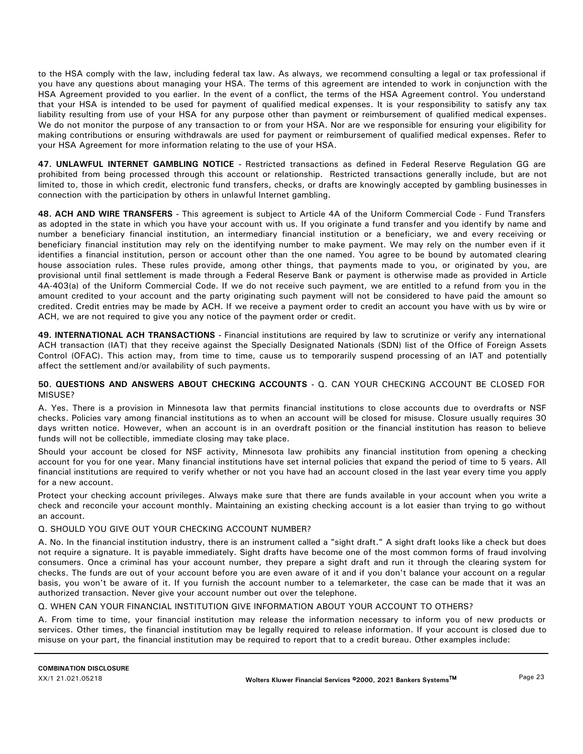to the HSA comply with the law, including federal tax law. As always, we recommend consulting a legal or tax professional if you have any questions about managing your HSA. The terms of this agreement are intended to work in conjunction with the HSA Agreement provided to you earlier. In the event of a conflict, the terms of the HSA Agreement control. You understand that your HSA is intended to be used for payment of qualified medical expenses. It is your responsibility to satisfy any tax liability resulting from use of your HSA for any purpose other than payment or reimbursement of qualified medical expenses. We do not monitor the purpose of any transaction to or from your HSA. Nor are we responsible for ensuring your eligibility for making contributions or ensuring withdrawals are used for payment or reimbursement of qualified medical expenses. Refer to your HSA Agreement for more information relating to the use of your HSA.

**47. UNLAWFUL INTERNET GAMBLING NOTICE -** Restricted transactions as defined in Federal Reserve Regulation GG are prohibited from being processed through this account or relationship. Restricted transactions generally include, but are not limited to, those in which credit, electronic fund transfers, checks, or drafts are knowingly accepted by gambling businesses in connection with the participation by others in unlawful Internet gambling.

**48. ACH AND WIRE TRANSFERS -** This agreement is subject to Article 4A of the Uniform Commercial Code - Fund Transfers as adopted in the state in which you have your account with us. If you originate a fund transfer and you identify by name and number a beneficiary financial institution, an intermediary financial institution or a beneficiary, we and every receiving or beneficiary financial institution may rely on the identifying number to make payment. We may rely on the number even if it identifies a financial institution, person or account other than the one named. You agree to be bound by automated clearing house association rules. These rules provide, among other things, that payments made to you, or originated by you, are provisional until final settlement is made through a Federal Reserve Bank or payment is otherwise made as provided in Article 4A-403(a) of the Uniform Commercial Code. If we do not receive such payment, we are entitled to a refund from you in the amount credited to your account and the party originating such payment will not be considered to have paid the amount so credited. Credit entries may be made by ACH. If we receive a payment order to credit an account you have with us by wire or ACH, we are not required to give you any notice of the payment order or credit.

**49. INTERNATIONAL ACH TRANSACTIONS -** Financial institutions are required by law to scrutinize or verify any international ACH transaction (IAT) that they receive against the Specially Designated Nationals (SDN) list of the Office of Foreign Assets Control (OFAC). This action may, from time to time, cause us to temporarily suspend processing of an IAT and potentially affect the settlement and/or availability of such payments.

# **50. QUESTIONS AND ANSWERS ABOUT CHECKING ACCOUNTS -** Q. CAN YOUR CHECKING ACCOUNT BE CLOSED FOR MISUSE?

A. Yes. There is a provision in Minnesota law that permits financial institutions to close accounts due to overdrafts or NSF checks. Policies vary among financial institutions as to when an account will be closed for misuse. Closure usually requires 30 days written notice. However, when an account is in an overdraft position or the financial institution has reason to believe funds will not be collectible, immediate closing may take place.

Should your account be closed for NSF activity, Minnesota law prohibits any financial institution from opening a checking account for you for one year. Many financial institutions have set internal policies that expand the period of time to 5 years. All financial institutions are required to verify whether or not you have had an account closed in the last year every time you apply for a new account.

Protect your checking account privileges. Always make sure that there are funds available in your account when you write a check and reconcile your account monthly. Maintaining an existing checking account is a lot easier than trying to go without an account.

# Q. SHOULD YOU GIVE OUT YOUR CHECKING ACCOUNT NUMBER?

A. No. In the financial institution industry, there is an instrument called a "sight draft." A sight draft looks like a check but does not require a signature. It is payable immediately. Sight drafts have become one of the most common forms of fraud involving consumers. Once a criminal has your account number, they prepare a sight draft and run it through the clearing system for checks. The funds are out of your account before you are even aware of it and if you don't balance your account on a regular basis, you won't be aware of it. If you furnish the account number to a telemarketer, the case can be made that it was an authorized transaction. Never give your account number out over the telephone.

# Q. WHEN CAN YOUR FINANCIAL INSTITUTION GIVE INFORMATION ABOUT YOUR ACCOUNT TO OTHERS?

A. From time to time, your financial institution may release the information necessary to inform you of new products or services. Other times, the financial institution may be legally required to release information. If your account is closed due to misuse on your part, the financial institution may be required to report that to a credit bureau. Other examples include: